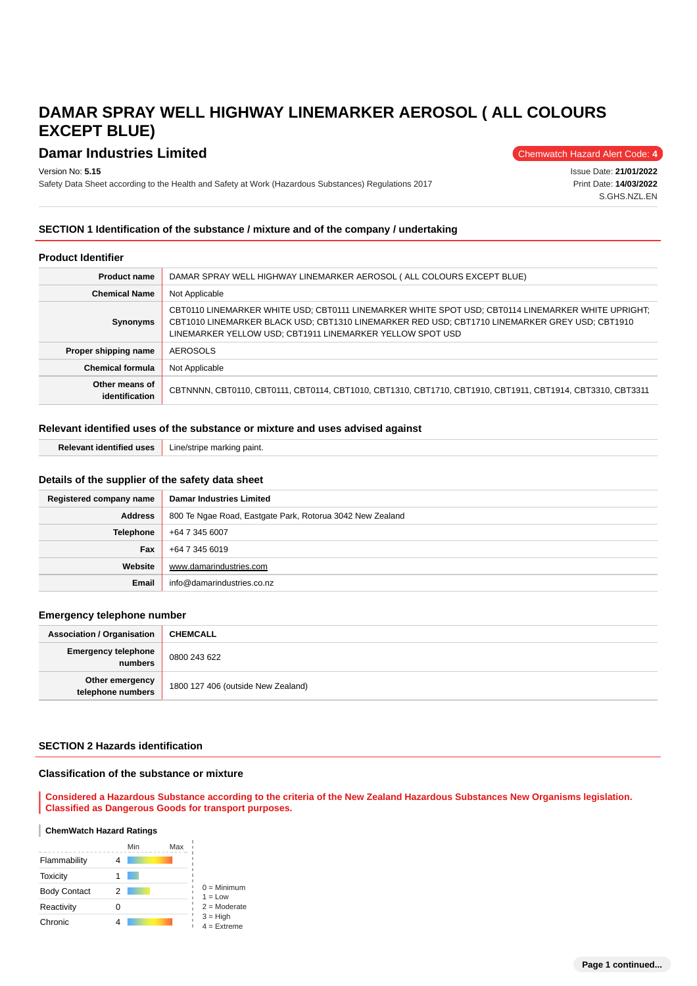# **Damar Industries Limited** Chemwatch Hazard Alert Code: 4

Version No: **5.15**

Safety Data Sheet according to the Health and Safety at Work (Hazardous Substances) Regulations 2017

Issue Date: **21/01/2022** Print Date: **14/03/2022** S.GHS.NZL.EN

### **SECTION 1 Identification of the substance / mixture and of the company / undertaking**

#### **Product Identifier**

| <b>Product name</b>              | DAMAR SPRAY WELL HIGHWAY LINEMARKER AEROSOL ( ALL COLOURS EXCEPT BLUE)                                                                                                                                                                                            |  |  |
|----------------------------------|-------------------------------------------------------------------------------------------------------------------------------------------------------------------------------------------------------------------------------------------------------------------|--|--|
| <b>Chemical Name</b>             | Not Applicable                                                                                                                                                                                                                                                    |  |  |
| <b>Synonyms</b>                  | CBT0110 LINEMARKER WHITE USD; CBT0111 LINEMARKER WHITE SPOT USD; CBT0114 LINEMARKER WHITE UPRIGHT;<br>CBT1010 LINEMARKER BLACK USD; CBT1310 LINEMARKER RED USD; CBT1710 LINEMARKER GREY USD; CBT1910<br>LINEMARKER YELLOW USD; CBT1911 LINEMARKER YELLOW SPOT USD |  |  |
| Proper shipping name             | <b>AEROSOLS</b>                                                                                                                                                                                                                                                   |  |  |
| <b>Chemical formula</b>          | Not Applicable                                                                                                                                                                                                                                                    |  |  |
| Other means of<br>identification | CBTNNNN, CBT0110, CBT0111, CBT0114, CBT1010, CBT1310, CBT1710, CBT1910, CBT1911, CBT1914, CBT3310, CBT3311                                                                                                                                                        |  |  |

# **Relevant identified uses of the substance or mixture and uses advised against**

|  | <b>Relevant identified uses</b> Line/stripe marking paint. |  |
|--|------------------------------------------------------------|--|
|--|------------------------------------------------------------|--|

## **Details of the supplier of the safety data sheet**

| Registered company name | <b>Damar Industries Limited</b>                           |  |  |
|-------------------------|-----------------------------------------------------------|--|--|
| <b>Address</b>          | 800 Te Ngae Road, Eastgate Park, Rotorua 3042 New Zealand |  |  |
| <b>Telephone</b>        | +64 7 345 6007                                            |  |  |
| Fax                     | +64 7 345 6019                                            |  |  |
| Website                 | www.damarindustries.com                                   |  |  |
| Email                   | info@damarindustries.co.nz                                |  |  |

#### **Emergency telephone number**

| <b>Association / Organisation</b>     | <b>CHEMCALL</b>                    |
|---------------------------------------|------------------------------------|
| <b>Emergency telephone</b><br>numbers | 0800 243 622                       |
| Other emergency<br>telephone numbers  | 1800 127 406 (outside New Zealand) |

#### **SECTION 2 Hazards identification**

#### **Classification of the substance or mixture**

**Considered a Hazardous Substance according to the criteria of the New Zealand Hazardous Substances New Organisms legislation. Classified as Dangerous Goods for transport purposes.**

#### ı **ChemWatch Hazard Ratings**

|                     |   | Min | Max |                                               |
|---------------------|---|-----|-----|-----------------------------------------------|
| Flammability        |   |     |     |                                               |
| <b>Toxicity</b>     |   |     |     |                                               |
| <b>Body Contact</b> | 2 |     |     | $0 =$ Minimum<br>$1 = Low$                    |
| Reactivity          |   |     |     | $2 =$ Moderate<br>$3 = High$<br>$4 =$ Extreme |
| Chronic             |   |     |     |                                               |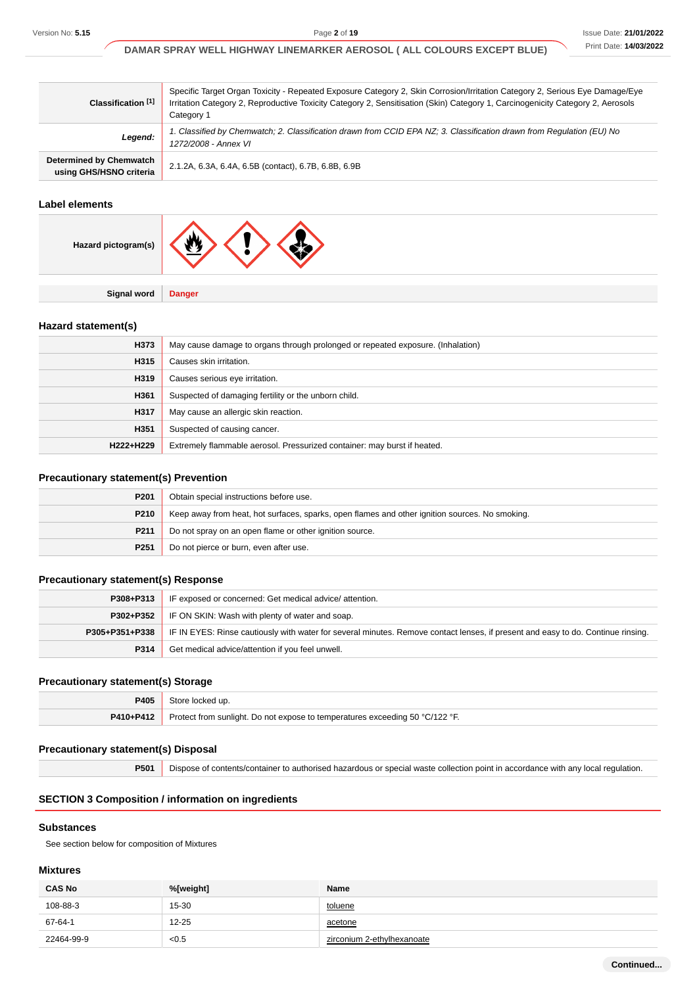| Classification <sup>[1]</sup>                      | Specific Target Organ Toxicity - Repeated Exposure Category 2, Skin Corrosion/Irritation Category 2, Serious Eye Damage/Eye<br>Irritation Category 2, Reproductive Toxicity Category 2, Sensitisation (Skin) Category 1, Carcinogenicity Category 2, Aerosols<br>Category 1 |  |  |
|----------------------------------------------------|-----------------------------------------------------------------------------------------------------------------------------------------------------------------------------------------------------------------------------------------------------------------------------|--|--|
| Legend:                                            | 1. Classified by Chemwatch; 2. Classification drawn from CCID EPA NZ; 3. Classification drawn from Regulation (EU) No<br>1272/2008 - Annex VI                                                                                                                               |  |  |
| Determined by Chemwatch<br>using GHS/HSNO criteria | 2.1.2A, 6.3A, 6.4A, 6.5B (contact), 6.7B, 6.8B, 6.9B                                                                                                                                                                                                                        |  |  |

#### **Label elements**

| Hazard pictogram(s) | <b>W</b> |
|---------------------|----------|
|                     |          |

**Hazard statement(s)**

| H373      | May cause damage to organs through prolonged or repeated exposure. (Inhalation) |  |
|-----------|---------------------------------------------------------------------------------|--|
| H315      | Causes skin irritation.                                                         |  |
| H319      | Causes serious eye irritation.                                                  |  |
| H361      | Suspected of damaging fertility or the unborn child.                            |  |
| H317      | May cause an allergic skin reaction.                                            |  |
| H351      | Suspected of causing cancer.                                                    |  |
| H222+H229 | Extremely flammable aerosol. Pressurized container: may burst if heated.        |  |

# **Precautionary statement(s) Prevention**

**Signal word Danger**

| P <sub>201</sub> | Obtain special instructions before use.                                                        |  |
|------------------|------------------------------------------------------------------------------------------------|--|
| P210             | Keep away from heat, hot surfaces, sparks, open flames and other ignition sources. No smoking. |  |
| P211             | Do not spray on an open flame or other ignition source.                                        |  |
| P <sub>251</sub> | Do not pierce or burn, even after use.                                                         |  |

# **Precautionary statement(s) Response**

| P308+P313      | IF exposed or concerned: Get medical advice/attention.                                                                           |  |
|----------------|----------------------------------------------------------------------------------------------------------------------------------|--|
| P302+P352      | IF ON SKIN: Wash with plenty of water and soap.                                                                                  |  |
| P305+P351+P338 | IF IN EYES: Rinse cautiously with water for several minutes. Remove contact lenses, if present and easy to do. Continue rinsing. |  |
| P314           | Get medical advice/attention if you feel unwell.                                                                                 |  |

# **Precautionary statement(s) Storage**

| P405      | Store locked up.                                                             |
|-----------|------------------------------------------------------------------------------|
| P410+P412 | Protect from sunlight. Do not expose to temperatures exceeding 50 °C/122 °F. |

# **Precautionary statement(s) Disposal**

**P501** Dispose of contents/container to authorised hazardous or special waste collection point in accordance with any local regulation.

# **SECTION 3 Composition / information on ingredients**

#### **Substances**

See section below for composition of Mixtures

#### **Mixtures**

| <b>CAS No</b> | %[weight] | <b>Name</b>                |
|---------------|-----------|----------------------------|
| 108-88-3      | 15-30     | <u>toluene</u>             |
| 67-64-1       | $12 - 25$ | acetone                    |
| 22464-99-9    | < 0.5     | zirconium 2-ethylhexanoate |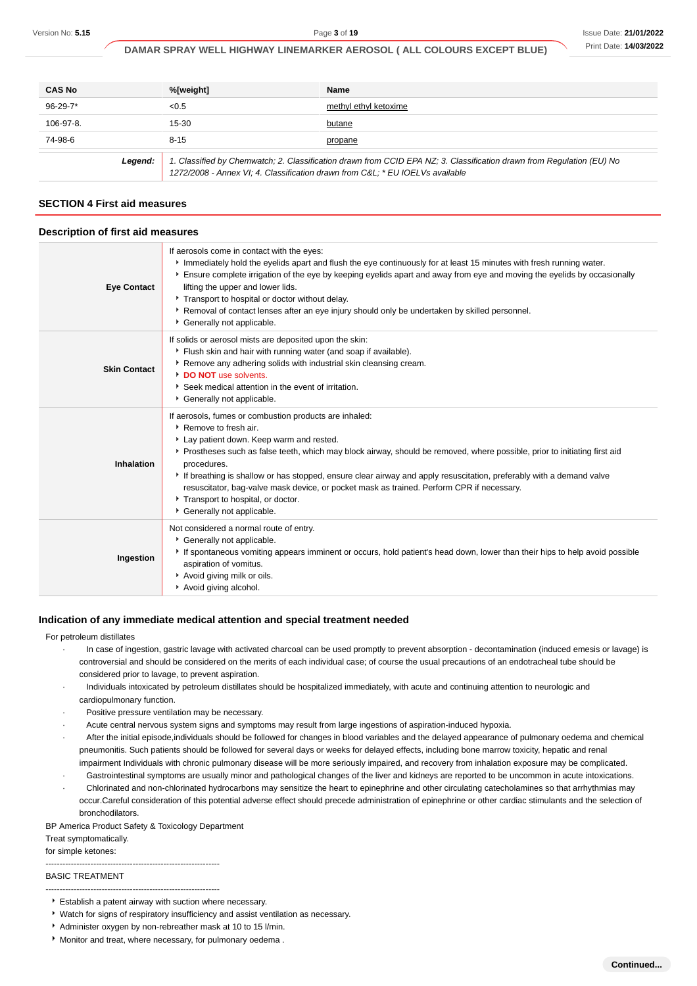| <b>CAS No</b> | %[weight]                                                                                                                                                                                             | Name                  |
|---------------|-------------------------------------------------------------------------------------------------------------------------------------------------------------------------------------------------------|-----------------------|
| $96-29-7*$    | < 0.5                                                                                                                                                                                                 | methyl ethyl ketoxime |
| 106-97-8.     | $15 - 30$                                                                                                                                                                                             | butane                |
| 74-98-6       | $8 - 15$                                                                                                                                                                                              | propane               |
| Legend:       | 1. Classified by Chemwatch; 2. Classification drawn from CCID EPA NZ; 3. Classification drawn from Regulation (EU) No<br>1272/2008 - Annex VI; 4. Classification drawn from C&L * EU IOELVs available |                       |

## **SECTION 4 First aid measures**

#### **Description of first aid measures**

| <b>Eye Contact</b>  | If aerosols come in contact with the eyes:<br>Immediately hold the eyelids apart and flush the eye continuously for at least 15 minutes with fresh running water.<br>Ensure complete irrigation of the eye by keeping eyelids apart and away from eye and moving the eyelids by occasionally<br>lifting the upper and lower lids.<br>Transport to hospital or doctor without delay.<br>▶ Removal of contact lenses after an eye injury should only be undertaken by skilled personnel.<br>Cenerally not applicable.                                            |
|---------------------|----------------------------------------------------------------------------------------------------------------------------------------------------------------------------------------------------------------------------------------------------------------------------------------------------------------------------------------------------------------------------------------------------------------------------------------------------------------------------------------------------------------------------------------------------------------|
| <b>Skin Contact</b> | If solids or aerosol mists are deposited upon the skin:<br>Flush skin and hair with running water (and soap if available).<br>Remove any adhering solids with industrial skin cleansing cream.<br>DO NOT use solvents.<br>Seek medical attention in the event of irritation.<br>Cenerally not applicable.                                                                                                                                                                                                                                                      |
| Inhalation          | If aerosols, fumes or combustion products are inhaled:<br>▶ Remove to fresh air.<br>Lay patient down. Keep warm and rested.<br>Prostheses such as false teeth, which may block airway, should be removed, where possible, prior to initiating first aid<br>procedures.<br>If breathing is shallow or has stopped, ensure clear airway and apply resuscitation, preferably with a demand valve<br>resuscitator, bag-valve mask device, or pocket mask as trained. Perform CPR if necessary.<br>Transport to hospital, or doctor.<br>* Generally not applicable. |
| Ingestion           | Not considered a normal route of entry.<br>Generally not applicable.<br>If spontaneous vomiting appears imminent or occurs, hold patient's head down, lower than their hips to help avoid possible<br>aspiration of vomitus.<br>Avoid giving milk or oils.<br>Avoid giving alcohol.                                                                                                                                                                                                                                                                            |

#### **Indication of any immediate medical attention and special treatment needed**

#### For petroleum distillates

- · In case of ingestion, gastric lavage with activated charcoal can be used promptly to prevent absorption decontamination (induced emesis or lavage) is controversial and should be considered on the merits of each individual case; of course the usual precautions of an endotracheal tube should be considered prior to lavage, to prevent aspiration.
- · Individuals intoxicated by petroleum distillates should be hospitalized immediately, with acute and continuing attention to neurologic and cardiopulmonary function.
- Positive pressure ventilation may be necessary.
- Acute central nervous system signs and symptoms may result from large ingestions of aspiration-induced hypoxia.
- After the initial episode,individuals should be followed for changes in blood variables and the delayed appearance of pulmonary oedema and chemical pneumonitis. Such patients should be followed for several days or weeks for delayed effects, including bone marrow toxicity, hepatic and renal impairment Individuals with chronic pulmonary disease will be more seriously impaired, and recovery from inhalation exposure may be complicated.
- Gastrointestinal symptoms are usually minor and pathological changes of the liver and kidneys are reported to be uncommon in acute intoxications. · Chlorinated and non-chlorinated hydrocarbons may sensitize the heart to epinephrine and other circulating catecholamines so that arrhythmias may occur.Careful consideration of this potential adverse effect should precede administration of epinephrine or other cardiac stimulants and the selection of
- bronchodilators.

BP America Product Safety & Toxicology Department

Treat symptomatically.

#### for simple ketones: --------------------------------------------------------------

#### BASIC TREATMENT

- --------------------------------------------------------------
- Establish a patent airway with suction where necessary.
- Watch for signs of respiratory insufficiency and assist ventilation as necessary.
- Administer oxygen by non-rebreather mask at 10 to 15 l/min.
- Monitor and treat, where necessary, for pulmonary oedema .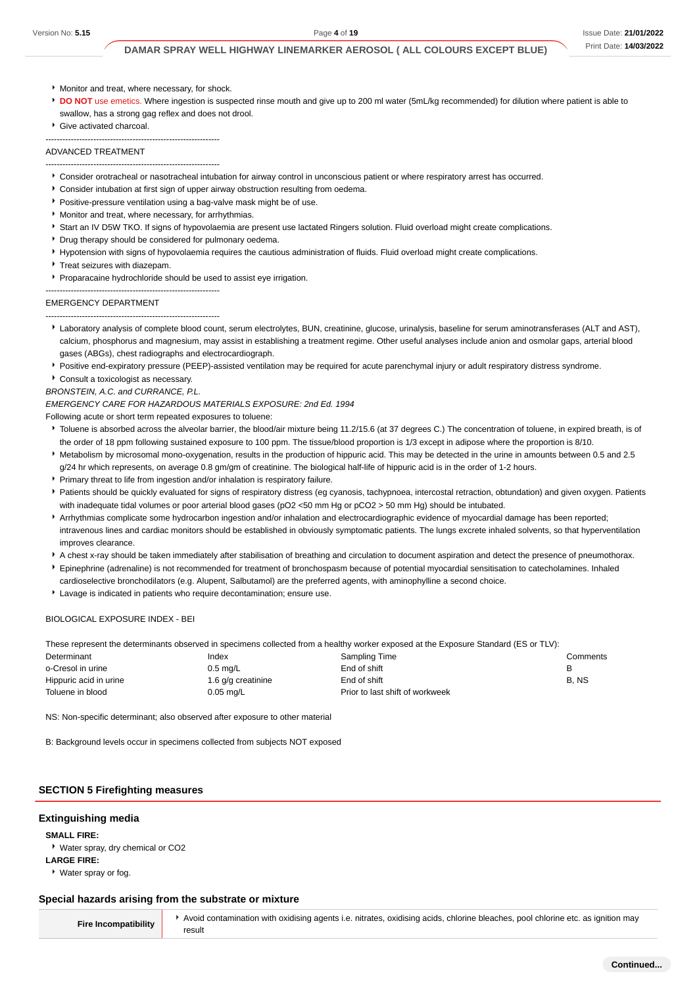- Monitor and treat, where necessary, for shock.
- **DO NOT** use emetics. Where ingestion is suspected rinse mouth and give up to 200 ml water (5mL/kg recommended) for dilution where patient is able to swallow, has a strong gag reflex and does not drool.
- Give activated charcoal.

ADVANCED TREATMENT

--------------------------------------------------------------

#### --------------------------------------------------------------

- Consider orotracheal or nasotracheal intubation for airway control in unconscious patient or where respiratory arrest has occurred.
- Consider intubation at first sign of upper airway obstruction resulting from oedema.
- **Positive-pressure ventilation using a bag-valve mask might be of use.**
- **Monitor and treat, where necessary, for arrhythmias.**
- Start an IV D5W TKO. If signs of hypovolaemia are present use lactated Ringers solution. Fluid overload might create complications.
- Drug therapy should be considered for pulmonary oedema.
- Hypotension with signs of hypovolaemia requires the cautious administration of fluids. Fluid overload might create complications.
- **Treat seizures with diazepam.**
- **Proparacaine hydrochloride should be used to assist eye irrigation.**

#### EMERGENCY DEPARTMENT

-------------------------------------------------------------- --------------------------------------------------------------

- Laboratory analysis of complete blood count, serum electrolytes, BUN, creatinine, glucose, urinalysis, baseline for serum aminotransferases (ALT and AST), calcium, phosphorus and magnesium, may assist in establishing a treatment regime. Other useful analyses include anion and osmolar gaps, arterial blood gases (ABGs), chest radiographs and electrocardiograph.
- Positive end-expiratory pressure (PEEP)-assisted ventilation may be required for acute parenchymal injury or adult respiratory distress syndrome.
- Consult a toxicologist as necessary.
- BRONSTEIN, A.C. and CURRANCE, P.L.

#### EMERGENCY CARE FOR HAZARDOUS MATERIALS EXPOSURE: 2nd Ed. 1994

Following acute or short term repeated exposures to toluene:

- Toluene is absorbed across the alveolar barrier, the blood/air mixture being 11.2/15.6 (at 37 degrees C.) The concentration of toluene, in expired breath, is of the order of 18 ppm following sustained exposure to 100 ppm. The tissue/blood proportion is 1/3 except in adipose where the proportion is 8/10.
- Metabolism by microsomal mono-oxygenation, results in the production of hippuric acid. This may be detected in the urine in amounts between 0.5 and 2.5 g/24 hr which represents, on average 0.8 gm/gm of creatinine. The biological half-life of hippuric acid is in the order of 1-2 hours.
- Primary threat to life from ingestion and/or inhalation is respiratory failure.
- Patients should be quickly evaluated for signs of respiratory distress (eg cyanosis, tachypnoea, intercostal retraction, obtundation) and given oxygen. Patients with inadequate tidal volumes or poor arterial blood gases (pO2 <50 mm Hg or pCO2 > 50 mm Hg) should be intubated.
- Arrhythmias complicate some hydrocarbon ingestion and/or inhalation and electrocardiographic evidence of myocardial damage has been reported; intravenous lines and cardiac monitors should be established in obviously symptomatic patients. The lungs excrete inhaled solvents, so that hyperventilation improves clearance.
- A chest x-ray should be taken immediately after stabilisation of breathing and circulation to document aspiration and detect the presence of pneumothorax.
- Epinephrine (adrenaline) is not recommended for treatment of bronchospasm because of potential myocardial sensitisation to catecholamines. Inhaled cardioselective bronchodilators (e.g. Alupent, Salbutamol) are the preferred agents, with aminophylline a second choice.
- Lavage is indicated in patients who require decontamination; ensure use.

#### BIOLOGICAL EXPOSURE INDEX - BEI

These represent the determinants observed in specimens collected from a healthy worker exposed at the Exposure Standard (ES or TLV):

| Determinant            | Index              | Sampling Time                   | Comments |
|------------------------|--------------------|---------------------------------|----------|
| o-Cresol in urine      | $0.5 \text{ mg/L}$ | End of shift                    | в        |
| Hippuric acid in urine | 1.6 g/g creatinine | End of shift                    | B, NS    |
| Toluene in blood       | $0.05$ mg/L        | Prior to last shift of workweek |          |
|                        |                    |                                 |          |

NS: Non-specific determinant; also observed after exposure to other material

B: Background levels occur in specimens collected from subjects NOT exposed

#### **SECTION 5 Firefighting measures**

#### **Extinguishing media**

**SMALL FIRE:**

Water spray, dry chemical or CO2 **LARGE FIRE:**

Water spray or fog.

#### **Special hazards arising from the substrate or mixture**

**Fire Incompatibility** Avoid contamination with oxidising agents i.e. nitrates, oxidising acids, chlorine bleaches, pool chlorine etc. as ignition may result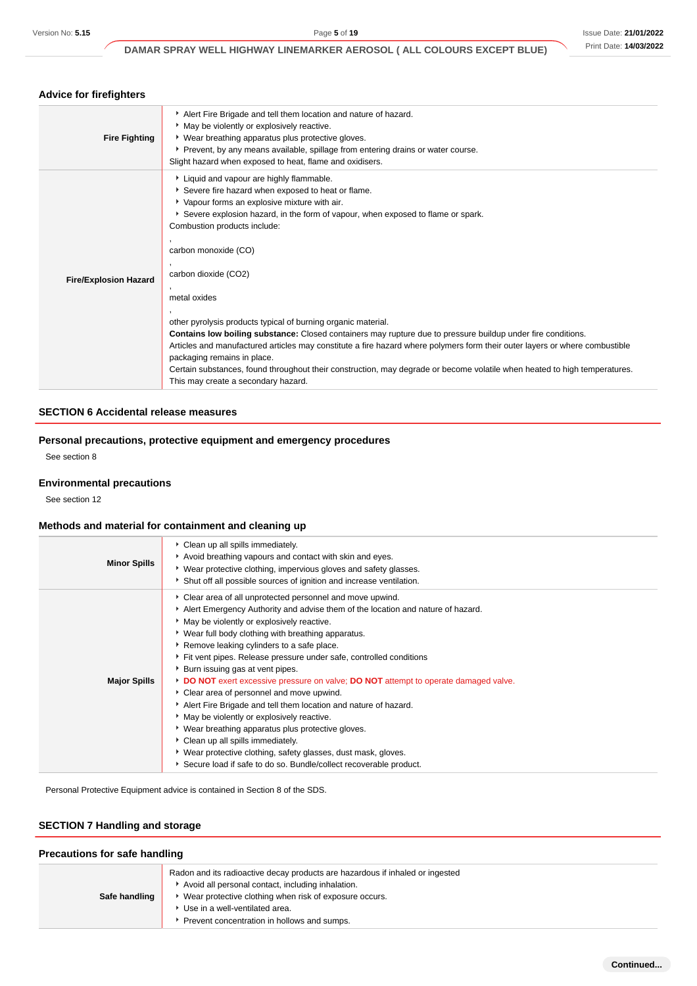| Advice for firelighters      |                                                                                                                                                                                                                                                                                                                                                                                                                                                                                                                                                                                                                                                                                                                                                                                                                                                     |
|------------------------------|-----------------------------------------------------------------------------------------------------------------------------------------------------------------------------------------------------------------------------------------------------------------------------------------------------------------------------------------------------------------------------------------------------------------------------------------------------------------------------------------------------------------------------------------------------------------------------------------------------------------------------------------------------------------------------------------------------------------------------------------------------------------------------------------------------------------------------------------------------|
| <b>Fire Fighting</b>         | Alert Fire Brigade and tell them location and nature of hazard.<br>May be violently or explosively reactive.<br>• Wear breathing apparatus plus protective gloves.<br>Prevent, by any means available, spillage from entering drains or water course.<br>Slight hazard when exposed to heat, flame and oxidisers.                                                                                                                                                                                                                                                                                                                                                                                                                                                                                                                                   |
| <b>Fire/Explosion Hazard</b> | Liquid and vapour are highly flammable.<br>Severe fire hazard when exposed to heat or flame.<br>• Vapour forms an explosive mixture with air.<br>Severe explosion hazard, in the form of vapour, when exposed to flame or spark.<br>Combustion products include:<br>carbon monoxide (CO)<br>carbon dioxide (CO2)<br>metal oxides<br>other pyrolysis products typical of burning organic material.<br>Contains low boiling substance: Closed containers may rupture due to pressure buildup under fire conditions.<br>Articles and manufactured articles may constitute a fire hazard where polymers form their outer layers or where combustible<br>packaging remains in place.<br>Certain substances, found throughout their construction, may degrade or become volatile when heated to high temperatures.<br>This may create a secondary hazard. |

#### **SECTION 6 Accidental release measures**

# **Personal precautions, protective equipment and emergency procedures**

See section 8

#### **Environmental precautions**

See section 12

# **Methods and material for containment and cleaning up**

| <b>Minor Spills</b> | Clean up all spills immediately.<br>Avoid breathing vapours and contact with skin and eyes.<br>▶ Wear protective clothing, impervious gloves and safety glasses.<br>Shut off all possible sources of ignition and increase ventilation.                                                                                                                                                                                                                                                                                                                                                                                                                                                                                                                                                                                                                                                    |
|---------------------|--------------------------------------------------------------------------------------------------------------------------------------------------------------------------------------------------------------------------------------------------------------------------------------------------------------------------------------------------------------------------------------------------------------------------------------------------------------------------------------------------------------------------------------------------------------------------------------------------------------------------------------------------------------------------------------------------------------------------------------------------------------------------------------------------------------------------------------------------------------------------------------------|
| <b>Major Spills</b> | Clear area of all unprotected personnel and move upwind.<br>Alert Emergency Authority and advise them of the location and nature of hazard.<br>May be violently or explosively reactive.<br>▶ Wear full body clothing with breathing apparatus.<br>Remove leaking cylinders to a safe place.<br>Fit vent pipes. Release pressure under safe, controlled conditions<br>▶ Burn issuing gas at vent pipes.<br>DO NOT exert excessive pressure on valve; DO NOT attempt to operate damaged valve.<br>Clear area of personnel and move upwind.<br>Alert Fire Brigade and tell them location and nature of hazard.<br>May be violently or explosively reactive.<br>▶ Wear breathing apparatus plus protective gloves.<br>Clean up all spills immediately.<br>▶ Wear protective clothing, safety glasses, dust mask, gloves.<br>Secure load if safe to do so. Bundle/collect recoverable product. |

Personal Protective Equipment advice is contained in Section 8 of the SDS.

# **SECTION 7 Handling and storage**

# **Precautions for safe handling**

| Safe handling | Radon and its radioactive decay products are hazardous if inhaled or ingested<br>Avoid all personal contact, including inhalation.<br>Wear protective clothing when risk of exposure occurs.<br>Use in a well-ventilated area.<br>Prevent concentration in hollows and sumps. |
|---------------|-------------------------------------------------------------------------------------------------------------------------------------------------------------------------------------------------------------------------------------------------------------------------------|
|---------------|-------------------------------------------------------------------------------------------------------------------------------------------------------------------------------------------------------------------------------------------------------------------------------|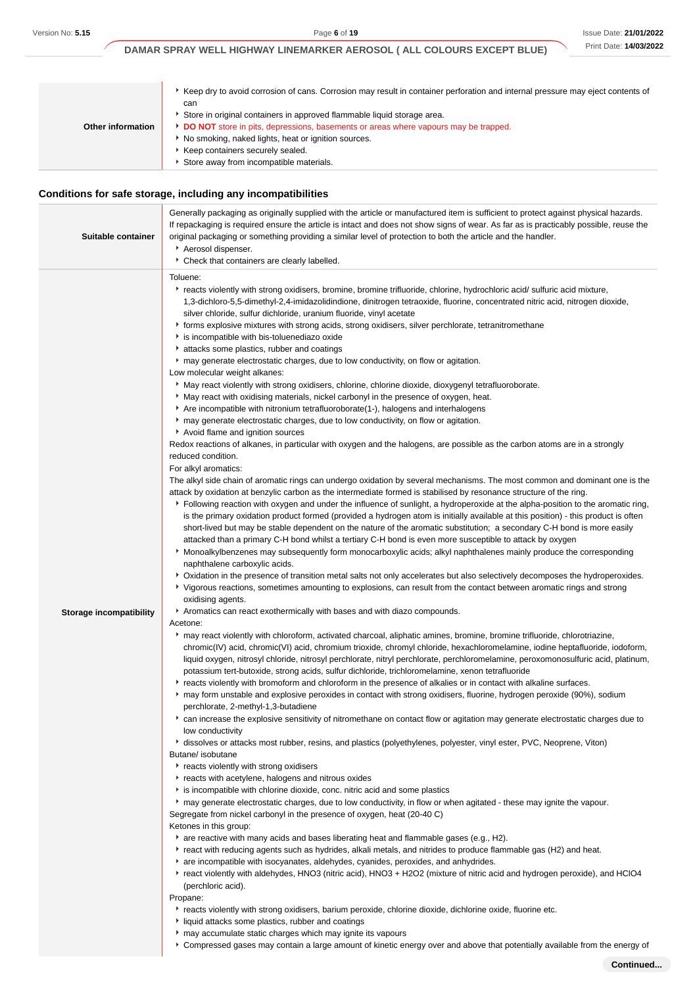|                   | Keep dry to avoid corrosion of cans. Corrosion may result in container perforation and internal pressure may eject contents of<br>can |
|-------------------|---------------------------------------------------------------------------------------------------------------------------------------|
|                   | Store in original containers in approved flammable liquid storage area.                                                               |
| Other information | DO NOT store in pits, depressions, basements or areas where vapours may be trapped.                                                   |
|                   | No smoking, naked lights, heat or ignition sources.                                                                                   |
|                   | Keep containers securely sealed.                                                                                                      |
|                   | Store away from incompatible materials.                                                                                               |

# **Conditions for safe storage, including any incompatibilities**

| Suitable container             | Generally packaging as originally supplied with the article or manufactured item is sufficient to protect against physical hazards.<br>If repackaging is required ensure the article is intact and does not show signs of wear. As far as is practicably possible, reuse the<br>original packaging or something providing a similar level of protection to both the article and the handler.<br>Aerosol dispenser.<br>Check that containers are clearly labelled.                                                                                                                                                                                                                                                                                                                                                                                                                                                                                                                                                                                                                                                                                                                                                                                                                                                                                                                                                                                                                                                                                                                                                                                                                                                                                                                                                                                                                                                                                                                                                                                                                                                                                                                                                                                                                                                                                                                                                                                                                                                                                                                                                                                                                                                                                                                                                                                                                                                                                                                                                                                                                                                                                                                                                                                                                                                                                                                                                                                                                                                                                                                                                                                                                                                                                                                                                                                                                                                                                                                                                                                                                                                                                                                                                                                                                                                                                                                                                                                                                                                                                                                                                                                                                                                                                                                                                                                                                                                                    |
|--------------------------------|--------------------------------------------------------------------------------------------------------------------------------------------------------------------------------------------------------------------------------------------------------------------------------------------------------------------------------------------------------------------------------------------------------------------------------------------------------------------------------------------------------------------------------------------------------------------------------------------------------------------------------------------------------------------------------------------------------------------------------------------------------------------------------------------------------------------------------------------------------------------------------------------------------------------------------------------------------------------------------------------------------------------------------------------------------------------------------------------------------------------------------------------------------------------------------------------------------------------------------------------------------------------------------------------------------------------------------------------------------------------------------------------------------------------------------------------------------------------------------------------------------------------------------------------------------------------------------------------------------------------------------------------------------------------------------------------------------------------------------------------------------------------------------------------------------------------------------------------------------------------------------------------------------------------------------------------------------------------------------------------------------------------------------------------------------------------------------------------------------------------------------------------------------------------------------------------------------------------------------------------------------------------------------------------------------------------------------------------------------------------------------------------------------------------------------------------------------------------------------------------------------------------------------------------------------------------------------------------------------------------------------------------------------------------------------------------------------------------------------------------------------------------------------------------------------------------------------------------------------------------------------------------------------------------------------------------------------------------------------------------------------------------------------------------------------------------------------------------------------------------------------------------------------------------------------------------------------------------------------------------------------------------------------------------------------------------------------------------------------------------------------------------------------------------------------------------------------------------------------------------------------------------------------------------------------------------------------------------------------------------------------------------------------------------------------------------------------------------------------------------------------------------------------------------------------------------------------------------------------------------------------------------------------------------------------------------------------------------------------------------------------------------------------------------------------------------------------------------------------------------------------------------------------------------------------------------------------------------------------------------------------------------------------------------------------------------------------------------------------------------------------------------------------------------------------------------------------------------------------------------------------------------------------------------------------------------------------------------------------------------------------------------------------------------------------------------------------------------------------------------------------------------------------------------------------------------------------------------------------------------------------------------------------------------------------------|
| <b>Storage incompatibility</b> | Toluene:<br>Freacts violently with strong oxidisers, bromine, bromine trifluoride, chlorine, hydrochloric acid/ sulfuric acid mixture,<br>1,3-dichloro-5,5-dimethyl-2,4-imidazolidindione, dinitrogen tetraoxide, fluorine, concentrated nitric acid, nitrogen dioxide,<br>silver chloride, sulfur dichloride, uranium fluoride, vinyl acetate<br>forms explosive mixtures with strong acids, strong oxidisers, silver perchlorate, tetranitromethane<br>is incompatible with bis-toluenediazo oxide<br>attacks some plastics, rubber and coatings<br>may generate electrostatic charges, due to low conductivity, on flow or agitation.<br>Low molecular weight alkanes:<br>May react violently with strong oxidisers, chlorine, chlorine dioxide, dioxygenyl tetrafluoroborate.<br>May react with oxidising materials, nickel carbonyl in the presence of oxygen, heat.<br>Are incompatible with nitronium tetrafluoroborate(1-), halogens and interhalogens<br>may generate electrostatic charges, due to low conductivity, on flow or agitation.<br>Avoid flame and ignition sources<br>Redox reactions of alkanes, in particular with oxygen and the halogens, are possible as the carbon atoms are in a strongly<br>reduced condition.<br>For alkyl aromatics:<br>The alkyl side chain of aromatic rings can undergo oxidation by several mechanisms. The most common and dominant one is the<br>attack by oxidation at benzylic carbon as the intermediate formed is stabilised by resonance structure of the ring.<br>Following reaction with oxygen and under the influence of sunlight, a hydroperoxide at the alpha-position to the aromatic ring,<br>is the primary oxidation product formed (provided a hydrogen atom is initially available at this position) - this product is often<br>short-lived but may be stable dependent on the nature of the aromatic substitution; a secondary C-H bond is more easily<br>attacked than a primary C-H bond whilst a tertiary C-H bond is even more susceptible to attack by oxygen<br>Monoalkylbenzenes may subsequently form monocarboxylic acids; alkyl naphthalenes mainly produce the corresponding<br>naphthalene carboxylic acids.<br>▶ Oxidation in the presence of transition metal salts not only accelerates but also selectively decomposes the hydroperoxides.<br>▶ Vigorous reactions, sometimes amounting to explosions, can result from the contact between aromatic rings and strong<br>oxidising agents.<br>Aromatics can react exothermically with bases and with diazo compounds.<br>Acetone:<br>► may react violently with chloroform, activated charcoal, aliphatic amines, bromine, bromine trifluoride, chlorotriazine,<br>chromic(IV) acid, chromic(VI) acid, chromium trioxide, chromyl chloride, hexachloromelamine, iodine heptafluoride, iodoform,<br>liquid oxygen, nitrosyl chloride, nitrosyl perchlorate, nitryl perchlorate, perchloromelamine, peroxomonosulfuric acid, platinum,<br>potassium tert-butoxide, strong acids, sulfur dichloride, trichloromelamine, xenon tetrafluoride<br>Freacts violently with bromoform and chloroform in the presence of alkalies or in contact with alkaline surfaces.<br>▶ may form unstable and explosive peroxides in contact with strong oxidisers, fluorine, hydrogen peroxide (90%), sodium<br>perchlorate, 2-methyl-1,3-butadiene<br>• can increase the explosive sensitivity of nitromethane on contact flow or agitation may generate electrostatic charges due to<br>low conductivity<br>dissolves or attacks most rubber, resins, and plastics (polyethylenes, polyester, vinyl ester, PVC, Neoprene, Viton)<br>Butane/ isobutane<br>reacts violently with strong oxidisers<br>reacts with acetylene, halogens and nitrous oxides<br>is incompatible with chlorine dioxide, conc. nitric acid and some plastics<br>► may generate electrostatic charges, due to low conductivity, in flow or when agitated - these may ignite the vapour.<br>Segregate from nickel carbonyl in the presence of oxygen, heat (20-40 C)<br>Ketones in this group:<br>* are reactive with many acids and bases liberating heat and flammable gases (e.g., H2).<br>▶ react with reducing agents such as hydrides, alkali metals, and nitrides to produce flammable gas (H2) and heat.<br>are incompatible with isocyanates, aldehydes, cyanides, peroxides, and anhydrides.<br>react violently with aldehydes, HNO3 (nitric acid), HNO3 + H2O2 (mixture of nitric acid and hydrogen peroxide), and HClO4<br>(perchloric acid).<br>Propane:<br>Freacts violently with strong oxidisers, barium peroxide, chlorine dioxide, dichlorine oxide, fluorine etc.<br>If liquid attacks some plastics, rubber and coatings<br>may accumulate static charges which may ignite its vapours<br>▶ Compressed gases may contain a large amount of kinetic energy over and above that potentially available from the energy of |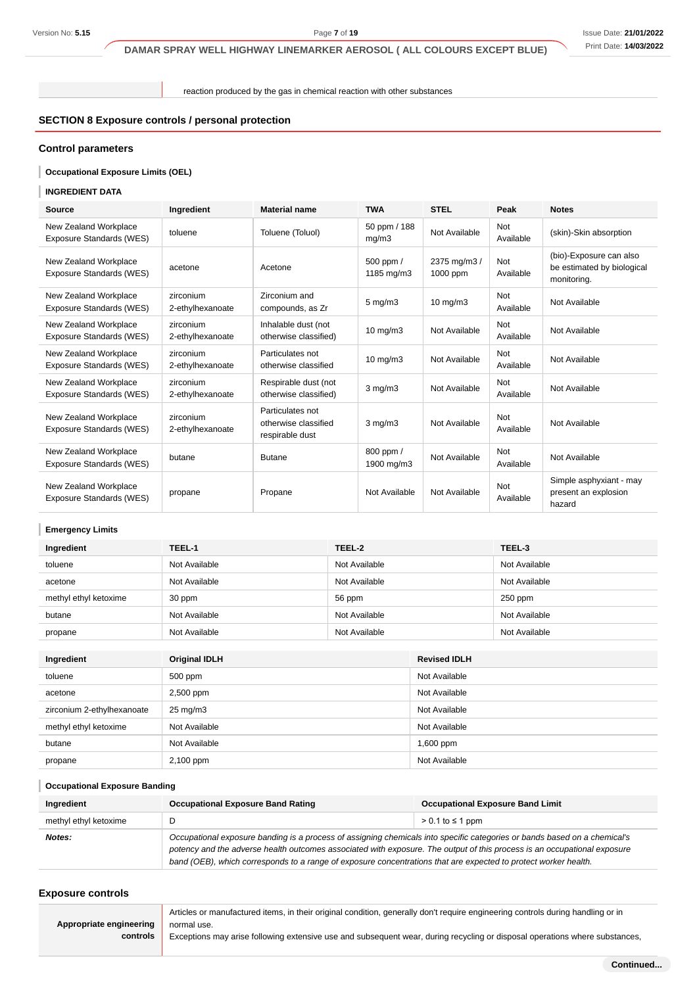reaction produced by the gas in chemical reaction with other substances

# **SECTION 8 Exposure controls / personal protection**

# **Control parameters**

#### I **Occupational Exposure Limits (OEL)**

#### **INGREDIENT DATA**

| Source                                            | Ingredient                    | <b>Material name</b>                                        | <b>TWA</b>              | <b>STEL</b>              | Peak                    | <b>Notes</b>                                                         |
|---------------------------------------------------|-------------------------------|-------------------------------------------------------------|-------------------------|--------------------------|-------------------------|----------------------------------------------------------------------|
| New Zealand Workplace<br>Exposure Standards (WES) | toluene                       | Toluene (Toluol)                                            | 50 ppm / 188<br>mg/m3   | Not Available            | Not<br>Available        | (skin)-Skin absorption                                               |
| New Zealand Workplace<br>Exposure Standards (WES) | acetone                       | Acetone                                                     | 500 ppm /<br>1185 mg/m3 | 2375 mg/m3 /<br>1000 ppm | Not<br>Available        | (bio)-Exposure can also<br>be estimated by biological<br>monitoring. |
| New Zealand Workplace<br>Exposure Standards (WES) | zirconium<br>2-ethylhexanoate | Zirconium and<br>compounds, as Zr                           | $5 \text{ mg/m}$ 3      | $10 \text{ mg/m}$        | <b>Not</b><br>Available | Not Available                                                        |
| New Zealand Workplace<br>Exposure Standards (WES) | zirconium<br>2-ethylhexanoate | Inhalable dust (not<br>otherwise classified)                | $10 \text{ mg/m}$       | Not Available            | <b>Not</b><br>Available | Not Available                                                        |
| New Zealand Workplace<br>Exposure Standards (WES) | zirconium<br>2-ethylhexanoate | Particulates not<br>otherwise classified                    | $10 \text{ mg/m}$       | Not Available            | <b>Not</b><br>Available | Not Available                                                        |
| New Zealand Workplace<br>Exposure Standards (WES) | zirconium<br>2-ethylhexanoate | Respirable dust (not<br>otherwise classified)               | $3$ mg/m $3$            | Not Available            | <b>Not</b><br>Available | Not Available                                                        |
| New Zealand Workplace<br>Exposure Standards (WES) | zirconium<br>2-ethylhexanoate | Particulates not<br>otherwise classified<br>respirable dust | $3 \text{ mg/m}$        | Not Available            | Not<br>Available        | Not Available                                                        |
| New Zealand Workplace<br>Exposure Standards (WES) | butane                        | <b>Butane</b>                                               | 800 ppm /<br>1900 mg/m3 | Not Available            | Not<br>Available        | Not Available                                                        |
| New Zealand Workplace<br>Exposure Standards (WES) | propane                       | Propane                                                     | Not Available           | Not Available            | <b>Not</b><br>Available | Simple asphyxiant - may<br>present an explosion<br>hazard            |

# **Emergency Limits**

| Ingredient            | TEEL-1        | TEEL-2        | TEEL-3        |
|-----------------------|---------------|---------------|---------------|
| toluene               | Not Available | Not Available | Not Available |
| acetone               | Not Available | Not Available | Not Available |
| methyl ethyl ketoxime | 30 ppm        | 56 ppm        | $250$ ppm     |
| butane                | Not Available | Not Available | Not Available |
| propane               | Not Available | Not Available | Not Available |

| Ingredient                 | <b>Original IDLH</b> | <b>Revised IDLH</b> |
|----------------------------|----------------------|---------------------|
| toluene                    | 500 ppm              | Not Available       |
| acetone                    | 2,500 ppm            | Not Available       |
| zirconium 2-ethylhexanoate | $25 \text{ mg/m}$ 3  | Not Available       |
| methyl ethyl ketoxime      | Not Available        | Not Available       |
| butane                     | Not Available        | $1,600$ ppm         |
| propane                    | 2,100 ppm            | Not Available       |

#### I **Occupational Exposure Banding**

| Ingredient            | <b>Occupational Exposure Band Rating</b>                                                                                                                                                                                                                                                                                                                                 | <b>Occupational Exposure Band Limit</b> |  |
|-----------------------|--------------------------------------------------------------------------------------------------------------------------------------------------------------------------------------------------------------------------------------------------------------------------------------------------------------------------------------------------------------------------|-----------------------------------------|--|
| methyl ethyl ketoxime |                                                                                                                                                                                                                                                                                                                                                                          | $> 0.1$ to $\leq 1$ ppm                 |  |
| Notes:                | Occupational exposure banding is a process of assigning chemicals into specific categories or bands based on a chemical's<br>potency and the adverse health outcomes associated with exposure. The output of this process is an occupational exposure<br>band (OEB), which corresponds to a range of exposure concentrations that are expected to protect worker health. |                                         |  |

#### **Exposure controls**

|                         | Articles or manufactured items, in their original condition, generally don't require engineering controls during handling or in |
|-------------------------|---------------------------------------------------------------------------------------------------------------------------------|
| Appropriate engineering | normal use.                                                                                                                     |
| controls                | Exceptions may arise following extensive use and subsequent wear, during recycling or disposal operations where substances,     |
|                         |                                                                                                                                 |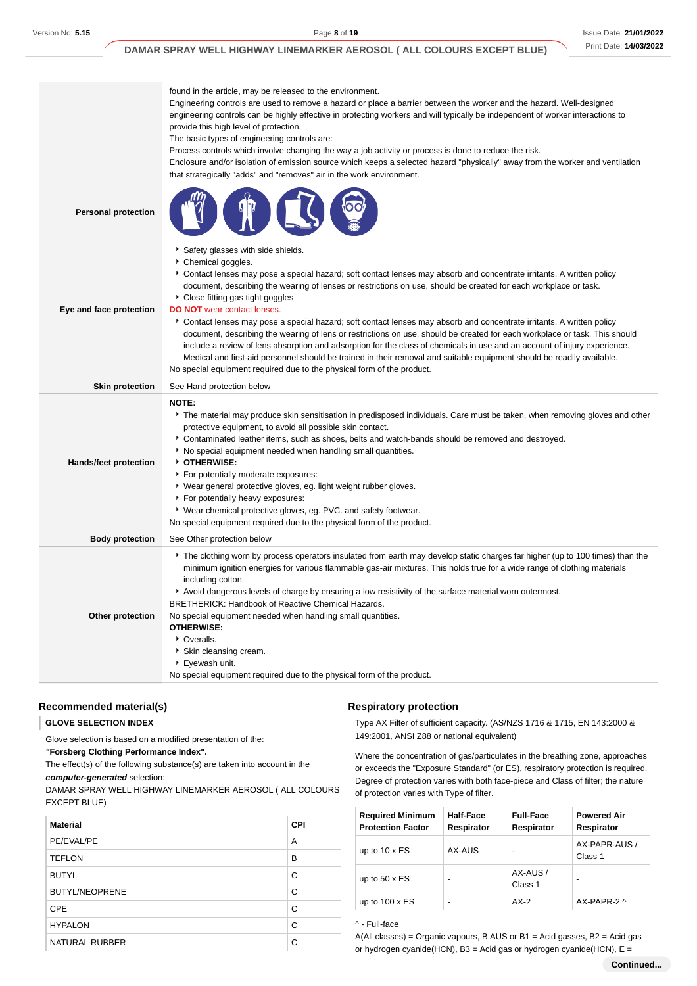|                              | found in the article, may be released to the environment.<br>Engineering controls are used to remove a hazard or place a barrier between the worker and the hazard. Well-designed<br>engineering controls can be highly effective in protecting workers and will typically be independent of worker interactions to<br>provide this high level of protection.<br>The basic types of engineering controls are:<br>Process controls which involve changing the way a job activity or process is done to reduce the risk.<br>Enclosure and/or isolation of emission source which keeps a selected hazard "physically" away from the worker and ventilation<br>that strategically "adds" and "removes" air in the work environment.                                                                                                                                                                                                                                      |
|------------------------------|----------------------------------------------------------------------------------------------------------------------------------------------------------------------------------------------------------------------------------------------------------------------------------------------------------------------------------------------------------------------------------------------------------------------------------------------------------------------------------------------------------------------------------------------------------------------------------------------------------------------------------------------------------------------------------------------------------------------------------------------------------------------------------------------------------------------------------------------------------------------------------------------------------------------------------------------------------------------|
| <b>Personal protection</b>   |                                                                                                                                                                                                                                                                                                                                                                                                                                                                                                                                                                                                                                                                                                                                                                                                                                                                                                                                                                      |
| Eye and face protection      | Safety glasses with side shields.<br>Chemical goggles.<br>Contact lenses may pose a special hazard; soft contact lenses may absorb and concentrate irritants. A written policy<br>document, describing the wearing of lenses or restrictions on use, should be created for each workplace or task.<br>• Close fitting gas tight goggles<br><b>DO NOT</b> wear contact lenses.<br>Contact lenses may pose a special hazard; soft contact lenses may absorb and concentrate irritants. A written policy<br>document, describing the wearing of lens or restrictions on use, should be created for each workplace or task. This should<br>include a review of lens absorption and adsorption for the class of chemicals in use and an account of injury experience.<br>Medical and first-aid personnel should be trained in their removal and suitable equipment should be readily available.<br>No special equipment required due to the physical form of the product. |
| <b>Skin protection</b>       | See Hand protection below                                                                                                                                                                                                                                                                                                                                                                                                                                                                                                                                                                                                                                                                                                                                                                                                                                                                                                                                            |
| <b>Hands/feet protection</b> | <b>NOTE:</b><br>▶ The material may produce skin sensitisation in predisposed individuals. Care must be taken, when removing gloves and other<br>protective equipment, to avoid all possible skin contact.<br>Contaminated leather items, such as shoes, belts and watch-bands should be removed and destroyed.<br>No special equipment needed when handling small quantities.<br>OTHERWISE:<br>For potentially moderate exposures:<br>▶ Wear general protective gloves, eg. light weight rubber gloves.<br>▶ For potentially heavy exposures:<br>▶ Wear chemical protective gloves, eg. PVC. and safety footwear.<br>No special equipment required due to the physical form of the product.                                                                                                                                                                                                                                                                          |
| <b>Body protection</b>       | See Other protection below                                                                                                                                                                                                                                                                                                                                                                                                                                                                                                                                                                                                                                                                                                                                                                                                                                                                                                                                           |
| Other protection             | The clothing worn by process operators insulated from earth may develop static charges far higher (up to 100 times) than the<br>minimum ignition energies for various flammable gas-air mixtures. This holds true for a wide range of clothing materials<br>including cotton.<br>Avoid dangerous levels of charge by ensuring a low resistivity of the surface material worn outermost.<br>BRETHERICK: Handbook of Reactive Chemical Hazards.<br>No special equipment needed when handling small quantities.<br><b>OTHERWISE:</b><br>• Overalls.<br>Skin cleansing cream.<br>Eyewash unit.<br>No special equipment required due to the physical form of the product.                                                                                                                                                                                                                                                                                                 |

### **Recommended material(s)**

## **GLOVE SELECTION INDEX**

I

Glove selection is based on a modified presentation of the:

**"Forsberg Clothing Performance Index".**

The effect(s) of the following substance(s) are taken into account in the **computer-generated** selection:

DAMAR SPRAY WELL HIGHWAY LINEMARKER AEROSOL ( ALL COLOURS EXCEPT BLUE)

| <b>Material</b>       | <b>CPI</b> |
|-----------------------|------------|
| PE/EVAL/PE            | A          |
| <b>TEFLON</b>         | в          |
| <b>BUTYL</b>          | C          |
| <b>BUTYL/NEOPRENE</b> | C          |
| <b>CPE</b>            | C          |
| <b>HYPALON</b>        | C          |
| <b>NATURAL RUBBER</b> | C          |

#### **Respiratory protection**

Type AX Filter of sufficient capacity. (AS/NZS 1716 & 1715, EN 143:2000 & 149:2001, ANSI Z88 or national equivalent)

Where the concentration of gas/particulates in the breathing zone, approaches or exceeds the "Exposure Standard" (or ES), respiratory protection is required. Degree of protection varies with both face-piece and Class of filter; the nature of protection varies with Type of filter.

| <b>Required Minimum</b><br><b>Protection Factor</b> | Half-Face<br>Respirator | <b>Full-Face</b><br>Respirator | <b>Powered Air</b><br>Respirator |
|-----------------------------------------------------|-------------------------|--------------------------------|----------------------------------|
| up to $10 \times ES$                                | AX-AUS                  | -                              | AX-PAPR-AUS /<br>Class 1         |
| up to $50 \times ES$                                |                         | AX-AUS/<br>Class 1             |                                  |
| up to $100 \times ES$                               |                         | $AX-2$                         | AX-PAPR-2 ^                      |

# ^ - Full-face

A(All classes) = Organic vapours, B AUS or B1 = Acid gasses, B2 = Acid gas or hydrogen cyanide(HCN),  $B3$  = Acid gas or hydrogen cyanide(HCN),  $E =$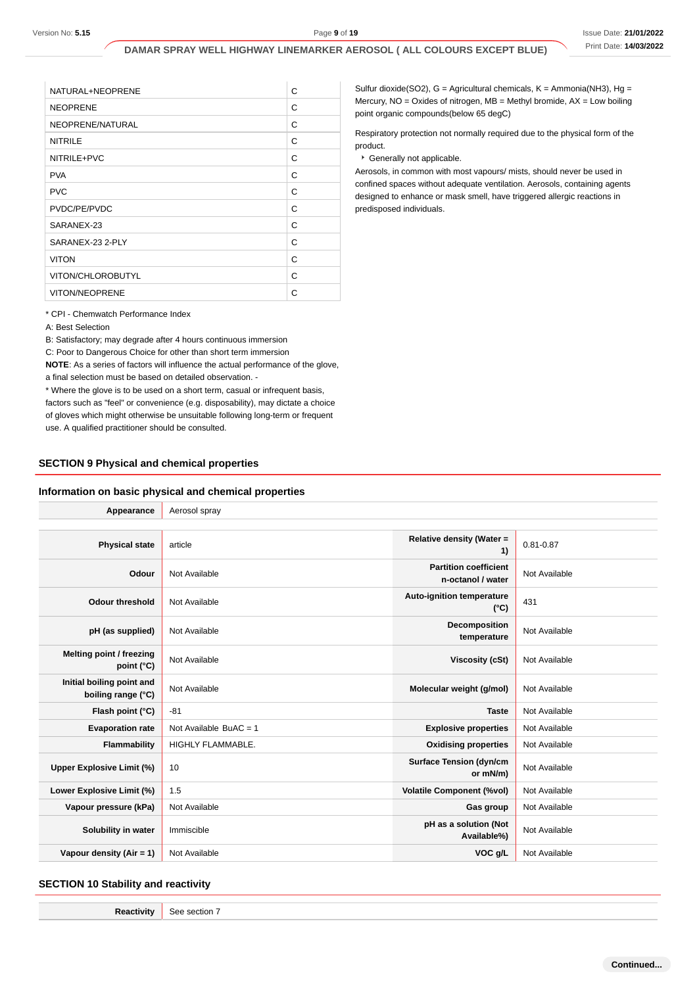| C |
|---|
| C |
| C |
| C |
| C |
| C |
| C |
| C |
| C |
| C |
| C |
| C |
| C |
|   |

#### **SECTION 9 Physical and chemical properties**

#### **Information on basic physical and chemical properties**

|                                                                                                                                                                                                                                                                                                                                           | DAMAR SPRAY WELL HIGHWAY LINEMARKER AEROSOL ( ALL COLOURS EXCEPT BLUE) |                                                                                   |                                                                                                    |                                                   |               | Print Date: 14/03/202 |
|-------------------------------------------------------------------------------------------------------------------------------------------------------------------------------------------------------------------------------------------------------------------------------------------------------------------------------------------|------------------------------------------------------------------------|-----------------------------------------------------------------------------------|----------------------------------------------------------------------------------------------------|---------------------------------------------------|---------------|-----------------------|
|                                                                                                                                                                                                                                                                                                                                           |                                                                        |                                                                                   | Sulfur dioxide(SO2), G = Agricultural chemicals, K = Ammonia(NH3), Hg =                            |                                                   |               |                       |
| NATURAL+NEOPRENE<br><b>NEOPRENE</b>                                                                                                                                                                                                                                                                                                       |                                                                        | C<br>C                                                                            | Mercury, $NO = Oxides$ of nitrogen, $MB = Methyl$ bromide, $AX = Low$ boiling                      |                                                   |               |                       |
|                                                                                                                                                                                                                                                                                                                                           |                                                                        |                                                                                   | point organic compounds(below 65 degC)                                                             |                                                   |               |                       |
| NEOPRENE/NATURAL<br><b>NITRILE</b>                                                                                                                                                                                                                                                                                                        |                                                                        | C<br>Respiratory protection not normally required due to the physical form of the |                                                                                                    |                                                   |               |                       |
|                                                                                                                                                                                                                                                                                                                                           |                                                                        |                                                                                   | C<br>product.                                                                                      |                                                   |               |                       |
| NITRILE+PVC                                                                                                                                                                                                                                                                                                                               |                                                                        | C                                                                                 | Generally not applicable.<br>Aerosols, in common with most vapours/ mists, should never be used in |                                                   |               |                       |
| <b>PVA</b>                                                                                                                                                                                                                                                                                                                                |                                                                        | C                                                                                 | confined spaces without adequate ventilation. Aerosols, containing agents                          |                                                   |               |                       |
| <b>PVC</b>                                                                                                                                                                                                                                                                                                                                |                                                                        | C                                                                                 | designed to enhance or mask smell, have triggered allergic reactions in                            |                                                   |               |                       |
| PVDC/PE/PVDC                                                                                                                                                                                                                                                                                                                              |                                                                        | C<br>C                                                                            | predisposed individuals.                                                                           |                                                   |               |                       |
| SARANEX-23<br>SARANEX-23 2-PLY                                                                                                                                                                                                                                                                                                            |                                                                        | C                                                                                 |                                                                                                    |                                                   |               |                       |
| <b>VITON</b>                                                                                                                                                                                                                                                                                                                              |                                                                        | C                                                                                 |                                                                                                    |                                                   |               |                       |
|                                                                                                                                                                                                                                                                                                                                           |                                                                        | $\mathsf{C}$                                                                      |                                                                                                    |                                                   |               |                       |
| VITON/CHLOROBUTYL<br><b>VITON/NEOPRENE</b>                                                                                                                                                                                                                                                                                                |                                                                        | C                                                                                 |                                                                                                    |                                                   |               |                       |
|                                                                                                                                                                                                                                                                                                                                           |                                                                        |                                                                                   |                                                                                                    |                                                   |               |                       |
| * Where the glove is to be used on a short term, casual or infrequent basis,<br>factors such as "feel" or convenience (e.g. disposability), may dictate a choice                                                                                                                                                                          |                                                                        |                                                                                   |                                                                                                    |                                                   |               |                       |
|                                                                                                                                                                                                                                                                                                                                           |                                                                        |                                                                                   |                                                                                                    |                                                   |               |                       |
| Appearance                                                                                                                                                                                                                                                                                                                                | Aerosol spray                                                          |                                                                                   |                                                                                                    |                                                   |               |                       |
| <b>Physical state</b>                                                                                                                                                                                                                                                                                                                     | article                                                                |                                                                                   |                                                                                                    | Relative density (Water =<br>1)                   | $0.81 - 0.87$ |                       |
| Odour                                                                                                                                                                                                                                                                                                                                     | Not Available                                                          |                                                                                   |                                                                                                    | <b>Partition coefficient</b><br>n-octanol / water | Not Available |                       |
| <b>Odour threshold</b>                                                                                                                                                                                                                                                                                                                    | Not Available                                                          |                                                                                   |                                                                                                    | Auto-ignition temperature<br>$(^{\circ}C)$        | 431           |                       |
| pH (as supplied)                                                                                                                                                                                                                                                                                                                          | Not Available                                                          |                                                                                   |                                                                                                    | Decomposition<br>temperature                      | Not Available |                       |
| Melting point / freezing<br>point (°C)                                                                                                                                                                                                                                                                                                    | Not Available                                                          |                                                                                   |                                                                                                    | <b>Viscosity (cSt)</b>                            | Not Available |                       |
| Initial boiling point and<br>boiling range (°C)                                                                                                                                                                                                                                                                                           | Not Available                                                          |                                                                                   |                                                                                                    | Molecular weight (g/mol)                          | Not Available |                       |
| Flash point (°C)                                                                                                                                                                                                                                                                                                                          | -81                                                                    |                                                                                   |                                                                                                    | <b>Taste</b>                                      | Not Available |                       |
| <b>Evaporation rate</b>                                                                                                                                                                                                                                                                                                                   | Not Available BuAC = $1$                                               |                                                                                   |                                                                                                    | <b>Explosive properties</b>                       | Not Available |                       |
| <b>Flammability</b>                                                                                                                                                                                                                                                                                                                       | HIGHLY FLAMMABLE.                                                      |                                                                                   |                                                                                                    | <b>Oxidising properties</b>                       | Not Available |                       |
|                                                                                                                                                                                                                                                                                                                                           | 10                                                                     |                                                                                   |                                                                                                    | <b>Surface Tension (dyn/cm</b><br>or mN/m)        | Not Available |                       |
|                                                                                                                                                                                                                                                                                                                                           | 1.5                                                                    |                                                                                   |                                                                                                    | <b>Volatile Component (%vol)</b>                  | Not Available |                       |
| Vapour pressure (kPa)                                                                                                                                                                                                                                                                                                                     | Not Available                                                          |                                                                                   |                                                                                                    | Gas group                                         | Not Available |                       |
| of gloves which might otherwise be unsuitable following long-term or frequent<br>use. A qualified practitioner should be consulted.<br><b>SECTION 9 Physical and chemical properties</b><br>Information on basic physical and chemical properties<br><b>Upper Explosive Limit (%)</b><br>Lower Explosive Limit (%)<br>Solubility in water | Immiscible                                                             |                                                                                   |                                                                                                    | pH as a solution (Not<br>Available%)              | Not Available |                       |

#### **SECTION 10 Stability and reactivity**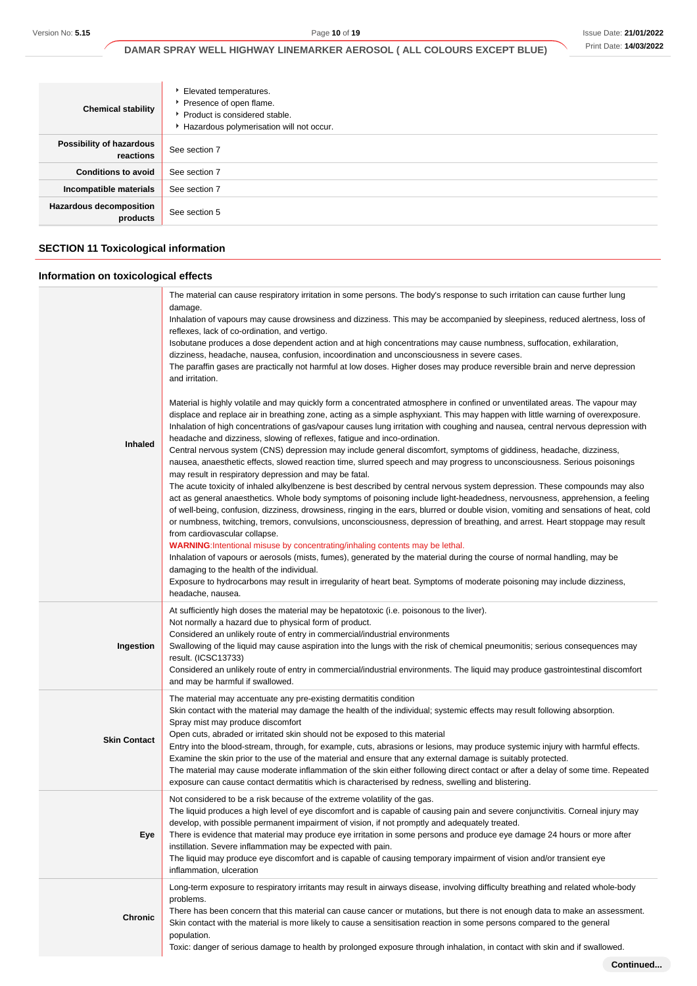| <b>Chemical stability</b>                  | Elevated temperatures.<br>Presence of open flame.<br>▶ Product is considered stable.<br>Hazardous polymerisation will not occur. |
|--------------------------------------------|----------------------------------------------------------------------------------------------------------------------------------|
| Possibility of hazardous<br>reactions      | See section 7                                                                                                                    |
| <b>Conditions to avoid</b>                 | See section 7                                                                                                                    |
| Incompatible materials                     | See section 7                                                                                                                    |
| <b>Hazardous decomposition</b><br>products | See section 5                                                                                                                    |

# **SECTION 11 Toxicological information**

# **Information on toxicological effects**

| Inhaled             | The material can cause respiratory irritation in some persons. The body's response to such irritation can cause further lung<br>damage.<br>Inhalation of vapours may cause drowsiness and dizziness. This may be accompanied by sleepiness, reduced alertness, loss of<br>reflexes, lack of co-ordination, and vertigo.<br>Isobutane produces a dose dependent action and at high concentrations may cause numbness, suffocation, exhilaration,<br>dizziness, headache, nausea, confusion, incoordination and unconsciousness in severe cases.<br>The paraffin gases are practically not harmful at low doses. Higher doses may produce reversible brain and nerve depression<br>and irritation.<br>Material is highly volatile and may quickly form a concentrated atmosphere in confined or unventilated areas. The vapour may<br>displace and replace air in breathing zone, acting as a simple asphyxiant. This may happen with little warning of overexposure.<br>Inhalation of high concentrations of gas/vapour causes lung irritation with coughing and nausea, central nervous depression with<br>headache and dizziness, slowing of reflexes, fatigue and inco-ordination.<br>Central nervous system (CNS) depression may include general discomfort, symptoms of giddiness, headache, dizziness,<br>nausea, anaesthetic effects, slowed reaction time, slurred speech and may progress to unconsciousness. Serious poisonings<br>may result in respiratory depression and may be fatal.<br>The acute toxicity of inhaled alkylbenzene is best described by central nervous system depression. These compounds may also<br>act as general anaesthetics. Whole body symptoms of poisoning include light-headedness, nervousness, apprehension, a feeling<br>of well-being, confusion, dizziness, drowsiness, ringing in the ears, blurred or double vision, vomiting and sensations of heat, cold<br>or numbness, twitching, tremors, convulsions, unconsciousness, depression of breathing, and arrest. Heart stoppage may result<br>from cardiovascular collapse.<br><b>WARNING:</b> Intentional misuse by concentrating/inhaling contents may be lethal.<br>Inhalation of vapours or aerosols (mists, fumes), generated by the material during the course of normal handling, may be<br>damaging to the health of the individual.<br>Exposure to hydrocarbons may result in irregularity of heart beat. Symptoms of moderate poisoning may include dizziness, |
|---------------------|---------------------------------------------------------------------------------------------------------------------------------------------------------------------------------------------------------------------------------------------------------------------------------------------------------------------------------------------------------------------------------------------------------------------------------------------------------------------------------------------------------------------------------------------------------------------------------------------------------------------------------------------------------------------------------------------------------------------------------------------------------------------------------------------------------------------------------------------------------------------------------------------------------------------------------------------------------------------------------------------------------------------------------------------------------------------------------------------------------------------------------------------------------------------------------------------------------------------------------------------------------------------------------------------------------------------------------------------------------------------------------------------------------------------------------------------------------------------------------------------------------------------------------------------------------------------------------------------------------------------------------------------------------------------------------------------------------------------------------------------------------------------------------------------------------------------------------------------------------------------------------------------------------------------------------------------------------------------------------------------------------------------------------------------------------------------------------------------------------------------------------------------------------------------------------------------------------------------------------------------------------------------------------------------------------------------------------------------------------------------------------------------------------------------------------------------------------------------------|
|                     | headache, nausea.                                                                                                                                                                                                                                                                                                                                                                                                                                                                                                                                                                                                                                                                                                                                                                                                                                                                                                                                                                                                                                                                                                                                                                                                                                                                                                                                                                                                                                                                                                                                                                                                                                                                                                                                                                                                                                                                                                                                                                                                                                                                                                                                                                                                                                                                                                                                                                                                                                                         |
| Ingestion           | At sufficiently high doses the material may be hepatotoxic (i.e. poisonous to the liver).<br>Not normally a hazard due to physical form of product.<br>Considered an unlikely route of entry in commercial/industrial environments<br>Swallowing of the liquid may cause aspiration into the lungs with the risk of chemical pneumonitis; serious consequences may<br>result. (ICSC13733)<br>Considered an unlikely route of entry in commercial/industrial environments. The liquid may produce gastrointestinal discomfort<br>and may be harmful if swallowed.                                                                                                                                                                                                                                                                                                                                                                                                                                                                                                                                                                                                                                                                                                                                                                                                                                                                                                                                                                                                                                                                                                                                                                                                                                                                                                                                                                                                                                                                                                                                                                                                                                                                                                                                                                                                                                                                                                          |
| <b>Skin Contact</b> | The material may accentuate any pre-existing dermatitis condition<br>Skin contact with the material may damage the health of the individual; systemic effects may result following absorption.<br>Spray mist may produce discomfort<br>Open cuts, abraded or irritated skin should not be exposed to this material<br>Entry into the blood-stream, through, for example, cuts, abrasions or lesions, may produce systemic injury with harmful effects.<br>Examine the skin prior to the use of the material and ensure that any external damage is suitably protected.<br>The material may cause moderate inflammation of the skin either following direct contact or after a delay of some time. Repeated<br>exposure can cause contact dermatitis which is characterised by redness, swelling and blistering.                                                                                                                                                                                                                                                                                                                                                                                                                                                                                                                                                                                                                                                                                                                                                                                                                                                                                                                                                                                                                                                                                                                                                                                                                                                                                                                                                                                                                                                                                                                                                                                                                                                           |
| Eye                 | Not considered to be a risk because of the extreme volatility of the gas.<br>The liquid produces a high level of eye discomfort and is capable of causing pain and severe conjunctivitis. Corneal injury may<br>develop, with possible permanent impairment of vision, if not promptly and adequately treated.<br>There is evidence that material may produce eye irritation in some persons and produce eye damage 24 hours or more after<br>instillation. Severe inflammation may be expected with pain.<br>The liquid may produce eye discomfort and is capable of causing temporary impairment of vision and/or transient eye<br>inflammation, ulceration                                                                                                                                                                                                                                                                                                                                                                                                                                                                                                                                                                                                                                                                                                                                                                                                                                                                                                                                                                                                                                                                                                                                                                                                                                                                                                                                                                                                                                                                                                                                                                                                                                                                                                                                                                                                             |
| <b>Chronic</b>      | Long-term exposure to respiratory irritants may result in airways disease, involving difficulty breathing and related whole-body<br>problems.<br>There has been concern that this material can cause cancer or mutations, but there is not enough data to make an assessment.<br>Skin contact with the material is more likely to cause a sensitisation reaction in some persons compared to the general<br>population.<br>Toxic: danger of serious damage to health by prolonged exposure through inhalation, in contact with skin and if swallowed.                                                                                                                                                                                                                                                                                                                                                                                                                                                                                                                                                                                                                                                                                                                                                                                                                                                                                                                                                                                                                                                                                                                                                                                                                                                                                                                                                                                                                                                                                                                                                                                                                                                                                                                                                                                                                                                                                                                     |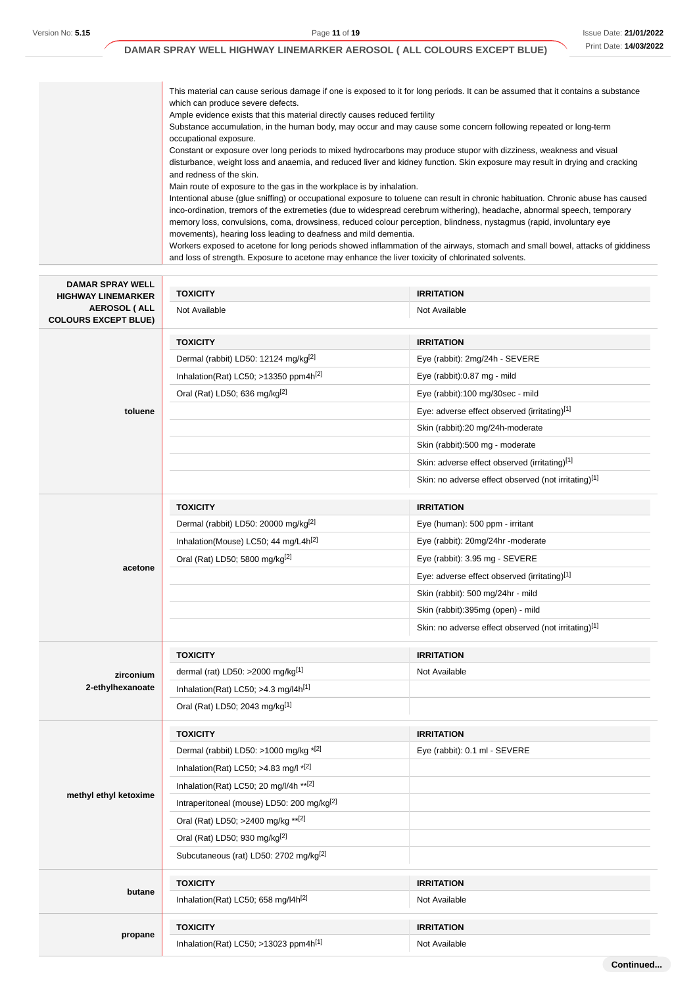Version No: **5.15** Page **11** of **19**

#### **DAMAR SPRAY WELL HIGHWAY LINEMARKER AEROSOL ( ALL COLOURS EXCEPT BLUE)**

This material can cause serious damage if one is exposed to it for long periods. It can be assumed that it contains a substance which can produce severe defects. Ample evidence exists that this material directly causes reduced fertility Substance accumulation, in the human body, may occur and may cause some concern following repeated or long-term occupational exposure. Constant or exposure over long periods to mixed hydrocarbons may produce stupor with dizziness, weakness and visual disturbance, weight loss and anaemia, and reduced liver and kidney function. Skin exposure may result in drying and cracking and redness of the skin. Main route of exposure to the gas in the workplace is by inhalation. Intentional abuse (glue sniffing) or occupational exposure to toluene can result in chronic habituation. Chronic abuse has caused inco-ordination, tremors of the extremeties (due to widespread cerebrum withering), headache, abnormal speech, temporary memory loss, convulsions, coma, drowsiness, reduced colour perception, blindness, nystagmus (rapid, involuntary eye movements), hearing loss leading to deafness and mild dementia. Workers exposed to acetone for long periods showed inflammation of the airways, stomach and small bowel, attacks of giddiness and loss of strength. Exposure to acetone may enhance the liver toxicity of chlorinated solvents.

| <b>DAMAR SPRAY WELL</b><br><b>HIGHWAY LINEMARKER</b> | <b>TOXICITY</b>                                        | <b>IRRITATION</b>                                    |  |
|------------------------------------------------------|--------------------------------------------------------|------------------------------------------------------|--|
| <b>AEROSOL (ALL</b><br><b>COLOURS EXCEPT BLUE)</b>   | Not Available                                          | Not Available                                        |  |
|                                                      | <b>TOXICITY</b>                                        | <b>IRRITATION</b>                                    |  |
|                                                      | Dermal (rabbit) LD50: 12124 mg/kg <sup>[2]</sup>       | Eye (rabbit): 2mg/24h - SEVERE                       |  |
|                                                      | Inhalation(Rat) LC50; >13350 ppm4h <sup>[2]</sup>      | Eye (rabbit):0.87 mg - mild                          |  |
|                                                      | Oral (Rat) LD50; 636 mg/kg <sup>[2]</sup>              | Eye (rabbit):100 mg/30sec - mild                     |  |
| toluene                                              |                                                        | Eye: adverse effect observed (irritating)[1]         |  |
|                                                      |                                                        | Skin (rabbit):20 mg/24h-moderate                     |  |
|                                                      |                                                        | Skin (rabbit):500 mg - moderate                      |  |
|                                                      |                                                        | Skin: adverse effect observed (irritating)[1]        |  |
|                                                      |                                                        | Skin: no adverse effect observed (not irritating)[1] |  |
|                                                      | <b>TOXICITY</b>                                        | <b>IRRITATION</b>                                    |  |
|                                                      | Dermal (rabbit) LD50: 20000 mg/kg[2]                   | Eye (human): 500 ppm - irritant                      |  |
|                                                      | Inhalation(Mouse) LC50; 44 mg/L4h <sup>[2]</sup>       | Eye (rabbit): 20mg/24hr -moderate                    |  |
|                                                      | Oral (Rat) LD50; 5800 mg/kg[2]                         | Eye (rabbit): 3.95 mg - SEVERE                       |  |
| acetone                                              |                                                        | Eye: adverse effect observed (irritating)[1]         |  |
|                                                      |                                                        | Skin (rabbit): 500 mg/24hr - mild                    |  |
|                                                      |                                                        | Skin (rabbit):395mg (open) - mild                    |  |
|                                                      |                                                        | Skin: no adverse effect observed (not irritating)[1] |  |
|                                                      | <b>TOXICITY</b>                                        | <b>IRRITATION</b>                                    |  |
| zirconium                                            | dermal (rat) LD50: >2000 mg/kg $[1]$                   | Not Available                                        |  |
| 2-ethylhexanoate                                     | Inhalation(Rat) LC50; >4.3 mg/l4h <sup>[1]</sup>       |                                                      |  |
|                                                      | Oral (Rat) LD50; 2043 mg/kg <sup>[1]</sup>             |                                                      |  |
|                                                      | <b>TOXICITY</b>                                        | <b>IRRITATION</b>                                    |  |
|                                                      | Dermal (rabbit) LD50: >1000 mg/kg $*$ <sup>[2]</sup>   | Eye (rabbit): 0.1 ml - SEVERE                        |  |
|                                                      | Inhalation(Rat) LC50; >4.83 mg/l $*$ <sup>[2]</sup>    |                                                      |  |
|                                                      | Inhalation(Rat) LC50; 20 mg/l/4h ** [2]                |                                                      |  |
| methyl ethyl ketoxime                                | Intraperitoneal (mouse) LD50: 200 mg/kg <sup>[2]</sup> |                                                      |  |
|                                                      | Oral (Rat) LD50; >2400 mg/kg **[2]                     |                                                      |  |
|                                                      | Oral (Rat) LD50; 930 mg/kg[2]                          |                                                      |  |
|                                                      | Subcutaneous (rat) LD50: 2702 mg/kg <sup>[2]</sup>     |                                                      |  |
|                                                      | <b>TOXICITY</b>                                        | <b>IRRITATION</b>                                    |  |
| butane                                               | Inhalation(Rat) LC50; 658 mg/l4h <sup>[2]</sup>        | Not Available                                        |  |
|                                                      | <b>TOXICITY</b>                                        | <b>IRRITATION</b>                                    |  |
| propane                                              | Inhalation(Rat) LC50; >13023 ppm4h <sup>[1]</sup>      | Not Available                                        |  |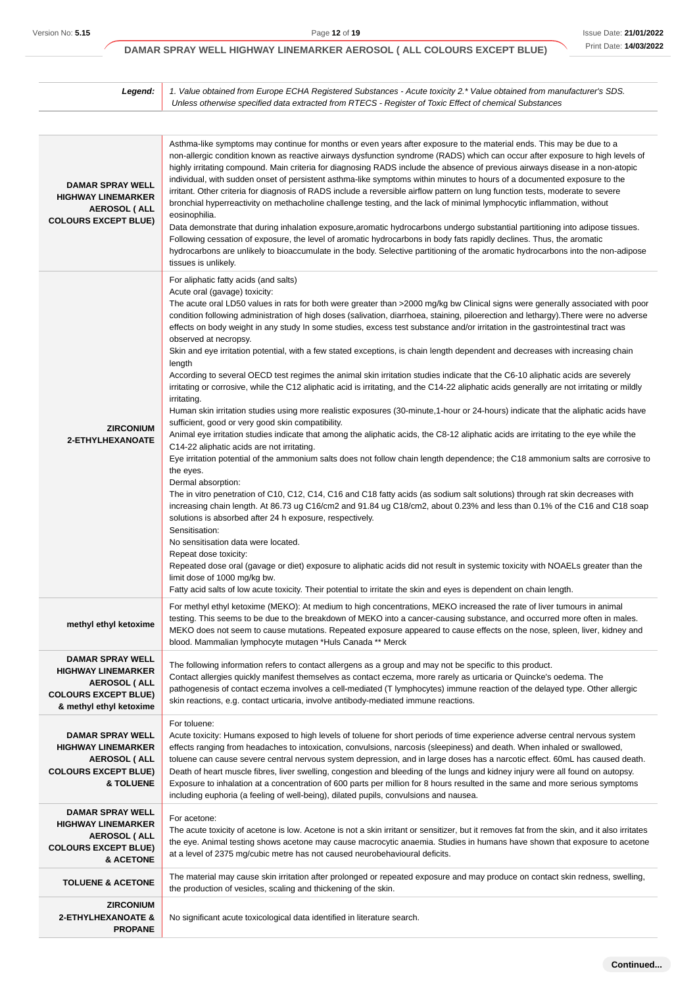**Continued...**

# **DAMAR SPRAY WELL HIGHWAY LINEMARKER AEROSOL ( ALL COLOURS EXCEPT BLUE)**

| Legend:                                                                                                                            | 1. Value obtained from Europe ECHA Registered Substances - Acute toxicity 2.* Value obtained from manufacturer's SDS.<br>Unless otherwise specified data extracted from RTECS - Register of Toxic Effect of chemical Substances                                                                                                                                                                                                                                                                                                                                                                                                                                                                                                                                                                                                                                                                                                                                                                                                                                                                                                                                                                                                                                                                                                                                                                                                                                                                                                                                                                                                                                                                                                                                                                                                                                                                                                                                                                                                                                                                                                                                                                                       |
|------------------------------------------------------------------------------------------------------------------------------------|-----------------------------------------------------------------------------------------------------------------------------------------------------------------------------------------------------------------------------------------------------------------------------------------------------------------------------------------------------------------------------------------------------------------------------------------------------------------------------------------------------------------------------------------------------------------------------------------------------------------------------------------------------------------------------------------------------------------------------------------------------------------------------------------------------------------------------------------------------------------------------------------------------------------------------------------------------------------------------------------------------------------------------------------------------------------------------------------------------------------------------------------------------------------------------------------------------------------------------------------------------------------------------------------------------------------------------------------------------------------------------------------------------------------------------------------------------------------------------------------------------------------------------------------------------------------------------------------------------------------------------------------------------------------------------------------------------------------------------------------------------------------------------------------------------------------------------------------------------------------------------------------------------------------------------------------------------------------------------------------------------------------------------------------------------------------------------------------------------------------------------------------------------------------------------------------------------------------------|
|                                                                                                                                    |                                                                                                                                                                                                                                                                                                                                                                                                                                                                                                                                                                                                                                                                                                                                                                                                                                                                                                                                                                                                                                                                                                                                                                                                                                                                                                                                                                                                                                                                                                                                                                                                                                                                                                                                                                                                                                                                                                                                                                                                                                                                                                                                                                                                                       |
| <b>DAMAR SPRAY WELL</b><br><b>HIGHWAY LINEMARKER</b><br>AEROSOL (ALL<br><b>COLOURS EXCEPT BLUE)</b>                                | Asthma-like symptoms may continue for months or even years after exposure to the material ends. This may be due to a<br>non-allergic condition known as reactive airways dysfunction syndrome (RADS) which can occur after exposure to high levels of<br>highly irritating compound. Main criteria for diagnosing RADS include the absence of previous airways disease in a non-atopic<br>individual, with sudden onset of persistent asthma-like symptoms within minutes to hours of a documented exposure to the<br>irritant. Other criteria for diagnosis of RADS include a reversible airflow pattern on lung function tests, moderate to severe<br>bronchial hyperreactivity on methacholine challenge testing, and the lack of minimal lymphocytic inflammation, without<br>eosinophilia.<br>Data demonstrate that during inhalation exposure, aromatic hydrocarbons undergo substantial partitioning into adipose tissues.<br>Following cessation of exposure, the level of aromatic hydrocarbons in body fats rapidly declines. Thus, the aromatic<br>hydrocarbons are unlikely to bioaccumulate in the body. Selective partitioning of the aromatic hydrocarbons into the non-adipose<br>tissues is unlikely.                                                                                                                                                                                                                                                                                                                                                                                                                                                                                                                                                                                                                                                                                                                                                                                                                                                                                                                                                                                                |
| <b>ZIRCONIUM</b><br>2-ETHYLHEXANOATE                                                                                               | For aliphatic fatty acids (and salts)<br>Acute oral (gavage) toxicity:<br>The acute oral LD50 values in rats for both were greater than >2000 mg/kg bw Clinical signs were generally associated with poor<br>condition following administration of high doses (salivation, diarrhoea, staining, piloerection and lethargy). There were no adverse<br>effects on body weight in any study In some studies, excess test substance and/or irritation in the gastrointestinal tract was<br>observed at necropsy.<br>Skin and eye irritation potential, with a few stated exceptions, is chain length dependent and decreases with increasing chain<br>length<br>According to several OECD test regimes the animal skin irritation studies indicate that the C6-10 aliphatic acids are severely<br>irritating or corrosive, while the C12 aliphatic acid is irritating, and the C14-22 aliphatic acids generally are not irritating or mildly<br>irritating.<br>Human skin irritation studies using more realistic exposures (30-minute,1-hour or 24-hours) indicate that the aliphatic acids have<br>sufficient, good or very good skin compatibility.<br>Animal eye irritation studies indicate that among the aliphatic acids, the C8-12 aliphatic acids are irritating to the eye while the<br>C14-22 aliphatic acids are not irritating.<br>Eye irritation potential of the ammonium salts does not follow chain length dependence; the C18 ammonium salts are corrosive to<br>the eyes.<br>Dermal absorption:<br>The in vitro penetration of C10, C12, C14, C16 and C18 fatty acids (as sodium salt solutions) through rat skin decreases with<br>increasing chain length. At 86.73 ug C16/cm2 and 91.84 ug C18/cm2, about 0.23% and less than 0.1% of the C16 and C18 soap<br>solutions is absorbed after 24 h exposure, respectively.<br>Sensitisation:<br>No sensitisation data were located.<br>Repeat dose toxicity:<br>Repeated dose oral (gavage or diet) exposure to aliphatic acids did not result in systemic toxicity with NOAELs greater than the<br>limit dose of 1000 mg/kg bw.<br>Fatty acid salts of low acute toxicity. Their potential to irritate the skin and eyes is dependent on chain length. |
| methyl ethyl ketoxime                                                                                                              | For methyl ethyl ketoxime (MEKO): At medium to high concentrations, MEKO increased the rate of liver tumours in animal<br>testing. This seems to be due to the breakdown of MEKO into a cancer-causing substance, and occurred more often in males.<br>MEKO does not seem to cause mutations. Repeated exposure appeared to cause effects on the nose, spleen, liver, kidney and<br>blood. Mammalian lymphocyte mutagen *Huls Canada ** Merck                                                                                                                                                                                                                                                                                                                                                                                                                                                                                                                                                                                                                                                                                                                                                                                                                                                                                                                                                                                                                                                                                                                                                                                                                                                                                                                                                                                                                                                                                                                                                                                                                                                                                                                                                                         |
| <b>DAMAR SPRAY WELL</b><br><b>HIGHWAY LINEMARKER</b><br>AEROSOL (ALL<br><b>COLOURS EXCEPT BLUE)</b><br>& methyl ethyl ketoxime     | The following information refers to contact allergens as a group and may not be specific to this product.<br>Contact allergies quickly manifest themselves as contact eczema, more rarely as urticaria or Quincke's oedema. The<br>pathogenesis of contact eczema involves a cell-mediated (T lymphocytes) immune reaction of the delayed type. Other allergic<br>skin reactions, e.g. contact urticaria, involve antibody-mediated immune reactions.                                                                                                                                                                                                                                                                                                                                                                                                                                                                                                                                                                                                                                                                                                                                                                                                                                                                                                                                                                                                                                                                                                                                                                                                                                                                                                                                                                                                                                                                                                                                                                                                                                                                                                                                                                 |
| <b>DAMAR SPRAY WELL</b><br><b>HIGHWAY LINEMARKER</b><br><b>AEROSOL (ALL</b><br><b>COLOURS EXCEPT BLUE)</b><br><b>&amp; TOLUENE</b> | For toluene:<br>Acute toxicity: Humans exposed to high levels of toluene for short periods of time experience adverse central nervous system<br>effects ranging from headaches to intoxication, convulsions, narcosis (sleepiness) and death. When inhaled or swallowed,<br>toluene can cause severe central nervous system depression, and in large doses has a narcotic effect. 60mL has caused death.<br>Death of heart muscle fibres, liver swelling, congestion and bleeding of the lungs and kidney injury were all found on autopsy.<br>Exposure to inhalation at a concentration of 600 parts per million for 8 hours resulted in the same and more serious symptoms<br>including euphoria (a feeling of well-being), dilated pupils, convulsions and nausea.                                                                                                                                                                                                                                                                                                                                                                                                                                                                                                                                                                                                                                                                                                                                                                                                                                                                                                                                                                                                                                                                                                                                                                                                                                                                                                                                                                                                                                                 |
| <b>DAMAR SPRAY WELL</b><br><b>HIGHWAY LINEMARKER</b><br>AEROSOL (ALL<br><b>COLOURS EXCEPT BLUE)</b><br>& ACETONE                   | For acetone:<br>The acute toxicity of acetone is low. Acetone is not a skin irritant or sensitizer, but it removes fat from the skin, and it also irritates<br>the eye. Animal testing shows acetone may cause macrocytic anaemia. Studies in humans have shown that exposure to acetone<br>at a level of 2375 mg/cubic metre has not caused neurobehavioural deficits.                                                                                                                                                                                                                                                                                                                                                                                                                                                                                                                                                                                                                                                                                                                                                                                                                                                                                                                                                                                                                                                                                                                                                                                                                                                                                                                                                                                                                                                                                                                                                                                                                                                                                                                                                                                                                                               |
| <b>TOLUENE &amp; ACETONE</b>                                                                                                       | The material may cause skin irritation after prolonged or repeated exposure and may produce on contact skin redness, swelling,<br>the production of vesicles, scaling and thickening of the skin.                                                                                                                                                                                                                                                                                                                                                                                                                                                                                                                                                                                                                                                                                                                                                                                                                                                                                                                                                                                                                                                                                                                                                                                                                                                                                                                                                                                                                                                                                                                                                                                                                                                                                                                                                                                                                                                                                                                                                                                                                     |
| <b>ZIRCONIUM</b><br><b>2-ETHYLHEXANOATE &amp;</b><br><b>PROPANE</b>                                                                | No significant acute toxicological data identified in literature search.                                                                                                                                                                                                                                                                                                                                                                                                                                                                                                                                                                                                                                                                                                                                                                                                                                                                                                                                                                                                                                                                                                                                                                                                                                                                                                                                                                                                                                                                                                                                                                                                                                                                                                                                                                                                                                                                                                                                                                                                                                                                                                                                              |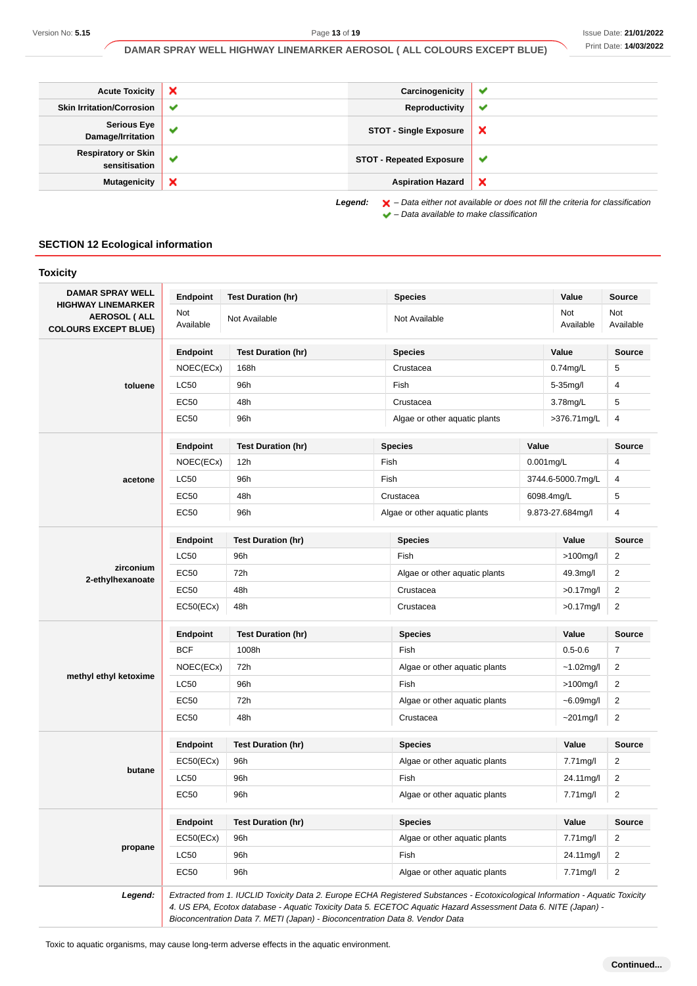| <b>Acute Toxicity</b>                       | $\boldsymbol{\mathsf{x}}$ | Carcinogenicity                 | ✔                                                                                                  |
|---------------------------------------------|---------------------------|---------------------------------|----------------------------------------------------------------------------------------------------|
| <b>Skin Irritation/Corrosion</b>            | $\checkmark$              | Reproductivity                  | $\checkmark$                                                                                       |
| <b>Serious Eye</b><br>Damage/Irritation     | ✔                         | <b>STOT - Single Exposure</b>   | ×                                                                                                  |
| <b>Respiratory or Skin</b><br>sensitisation | ✔                         | <b>STOT - Repeated Exposure</b> | v                                                                                                  |
| <b>Mutagenicity</b>                         | $\boldsymbol{\mathsf{x}}$ | <b>Aspiration Hazard</b>        | $\boldsymbol{\mathsf{x}}$                                                                          |
|                                             |                           | Legend:                         | $\blacktriangleright$ – Data either not available or does not fill the criteria for classification |

 $\blacktriangleright$  – Data available to make classification

# **SECTION 12 Ecological information**

| <b>DAMAR SPRAY WELL</b>                                                  | Endpoint         | <b>Test Duration (hr)</b> |                               | <b>Species</b>                |              | Value                   | <b>Source</b>    |
|--------------------------------------------------------------------------|------------------|---------------------------|-------------------------------|-------------------------------|--------------|-------------------------|------------------|
| <b>HIGHWAY LINEMARKER</b><br>AEROSOL (ALL<br><b>COLOURS EXCEPT BLUE)</b> | Not<br>Available | Not Available             |                               | Not Available                 |              | <b>Not</b><br>Available | Not<br>Available |
|                                                                          | Endpoint         | <b>Test Duration (hr)</b> |                               | <b>Species</b>                |              | Value                   | <b>Source</b>    |
|                                                                          | NOEC(ECx)        | 168h                      |                               | Crustacea                     |              | $0.74$ mg/L             | 5                |
| toluene                                                                  | <b>LC50</b>      | 96h                       |                               | Fish                          |              | 5-35mg/l                | 4                |
|                                                                          | <b>EC50</b>      | 48h                       |                               | Crustacea                     |              | 3.78mg/L                | 5                |
|                                                                          | EC50             | 96h                       |                               | Algae or other aquatic plants |              | >376.71mg/L             | 4                |
|                                                                          | <b>Endpoint</b>  | <b>Test Duration (hr)</b> |                               | <b>Species</b>                | Value        |                         | <b>Source</b>    |
|                                                                          | NOEC(ECx)        | 12h                       | Fish                          |                               |              | $0.001$ mg/L            | 4                |
| acetone                                                                  | <b>LC50</b>      | 96h                       | Fish                          |                               |              | 3744.6-5000.7mg/L       | 4                |
|                                                                          | <b>EC50</b>      | 48h                       |                               | Crustacea                     |              | 6098.4mg/L              | 5                |
|                                                                          | EC50             | 96h                       |                               | Algae or other aquatic plants |              | 9.873-27.684mg/l        | 4                |
|                                                                          | <b>Endpoint</b>  | <b>Test Duration (hr)</b> |                               | <b>Species</b>                |              | Value                   | <b>Source</b>    |
|                                                                          | <b>LC50</b>      | 96h                       |                               | Fish                          |              | $>100$ mg/l             | 2                |
| zirconium                                                                | EC50             | 72h                       |                               | Algae or other aquatic plants |              | 49.3mg/l                | $\overline{2}$   |
| 2-ethylhexanoate                                                         | <b>EC50</b>      | 48h                       |                               | Crustacea                     |              | $>0.17$ mg/l            | $\overline{2}$   |
|                                                                          | EC50(ECx)        | 48h                       |                               | Crustacea                     |              | $>0.17$ mg/l            | $\overline{2}$   |
|                                                                          | <b>Endpoint</b>  | <b>Test Duration (hr)</b> |                               | <b>Species</b>                |              | Value                   | <b>Source</b>    |
|                                                                          | <b>BCF</b>       | 1008h                     |                               | Fish                          |              | $0.5 - 0.6$             | $\overline{7}$   |
|                                                                          | NOEC(ECx)        | 72h                       |                               | Algae or other aquatic plants |              | $~1.02$ mg/l            | $\overline{2}$   |
| methyl ethyl ketoxime                                                    | <b>LC50</b>      | 96h                       |                               | Fish                          |              | $>100$ mg/l             | $\overline{2}$   |
|                                                                          | EC50             | 72h                       | Algae or other aquatic plants |                               | $-6.09$ mg/l | $\overline{2}$          |                  |
|                                                                          | EC50             | 48h                       |                               | Crustacea                     |              | $~201$ mg/l             | $\overline{2}$   |
|                                                                          | <b>Endpoint</b>  | <b>Test Duration (hr)</b> |                               | <b>Species</b>                |              | Value                   | <b>Source</b>    |
|                                                                          | EC50(ECx)        | 96h                       |                               | Algae or other aquatic plants |              | 7.71mg/l                | $\overline{2}$   |
| butane                                                                   | LC50             | 96h                       |                               | Fish                          |              | 24.11mg/l               | $\overline{2}$   |
|                                                                          | EC50             | 96h                       |                               | Algae or other aquatic plants |              | 7.71mg/l                | $\overline{2}$   |
|                                                                          | Endpoint         | <b>Test Duration (hr)</b> | <b>Species</b>                |                               |              | Value                   | Source           |
|                                                                          | EC50(ECx)        | 96h                       |                               | Algae or other aquatic plants |              | 7.71mg/l                | 2                |
| propane                                                                  | LC50             | 96h                       |                               | Fish                          |              | 24.11mg/l               | $\overline{2}$   |
|                                                                          | <b>EC50</b>      | 96h                       |                               | Algae or other aquatic plants |              | 7.71mg/l                | $\overline{2}$   |

Bioconcentration Data 7. METI (Japan) - Bioconcentration Data 8. Vendor Data

Toxic to aquatic organisms, may cause long-term adverse effects in the aquatic environment.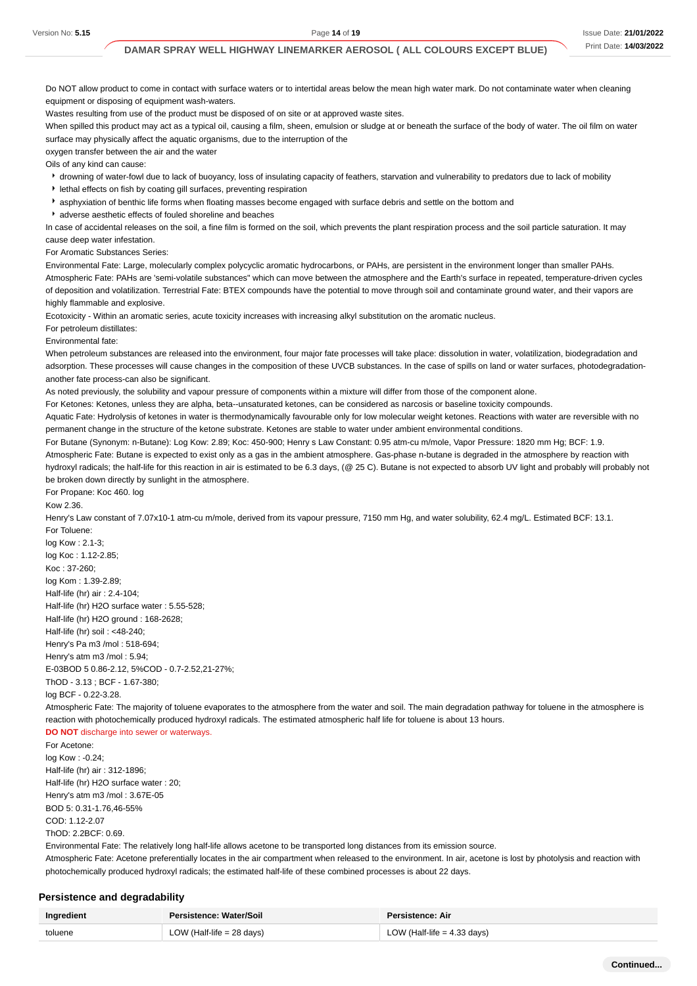Do NOT allow product to come in contact with surface waters or to intertidal areas below the mean high water mark. Do not contaminate water when cleaning equipment or disposing of equipment wash-waters.

Wastes resulting from use of the product must be disposed of on site or at approved waste sites.

When spilled this product may act as a typical oil, causing a film, sheen, emulsion or sludge at or beneath the surface of the body of water. The oil film on water surface may physically affect the aquatic organisms, due to the interruption of the

oxygen transfer between the air and the water

Oils of any kind can cause:

drowning of water-fowl due to lack of buoyancy, loss of insulating capacity of feathers, starvation and vulnerability to predators due to lack of mobility

lethal effects on fish by coating gill surfaces, preventing respiration

- asphyxiation of benthic life forms when floating masses become engaged with surface debris and settle on the bottom and
- adverse aesthetic effects of fouled shoreline and beaches

In case of accidental releases on the soil, a fine film is formed on the soil, which prevents the plant respiration process and the soil particle saturation. It may cause deep water infestation.

For Aromatic Substances Series:

Environmental Fate: Large, molecularly complex polycyclic aromatic hydrocarbons, or PAHs, are persistent in the environment longer than smaller PAHs. Atmospheric Fate: PAHs are 'semi-volatile substances" which can move between the atmosphere and the Earth's surface in repeated, temperature-driven cycles of deposition and volatilization. Terrestrial Fate: BTEX compounds have the potential to move through soil and contaminate ground water, and their vapors are highly flammable and explosive.

Ecotoxicity - Within an aromatic series, acute toxicity increases with increasing alkyl substitution on the aromatic nucleus.

For petroleum distillates:

Environmental fate:

When petroleum substances are released into the environment, four major fate processes will take place: dissolution in water, volatilization, biodegradation and adsorption. These processes will cause changes in the composition of these UVCB substances. In the case of spills on land or water surfaces, photodegradationanother fate process-can also be significant.

As noted previously, the solubility and vapour pressure of components within a mixture will differ from those of the component alone.

For Ketones: Ketones, unless they are alpha, beta--unsaturated ketones, can be considered as narcosis or baseline toxicity compounds.

Aquatic Fate: Hydrolysis of ketones in water is thermodynamically favourable only for low molecular weight ketones. Reactions with water are reversible with no permanent change in the structure of the ketone substrate. Ketones are stable to water under ambient environmental conditions.

For Butane (Synonym: n-Butane): Log Kow: 2.89; Koc: 450-900; Henry s Law Constant: 0.95 atm-cu m/mole, Vapor Pressure: 1820 mm Hg; BCF: 1.9.

Atmospheric Fate: Butane is expected to exist only as a gas in the ambient atmosphere. Gas-phase n-butane is degraded in the atmosphere by reaction with hydroxyl radicals; the half-life for this reaction in air is estimated to be 6.3 days, (@ 25 C). Butane is not expected to absorb UV light and probably will probably not be broken down directly by sunlight in the atmosphere.

For Propane: Koc 460. log

Kow 2.36.

Henry's Law constant of 7.07x10-1 atm-cu m/mole, derived from its vapour pressure, 7150 mm Hg, and water solubility, 62.4 mg/L. Estimated BCF: 13.1. For Toluene:

log Kow : 2.1-3; log Koc : 1.12-2.85; Koc : 37-260; log Kom : 1.39-2.89; Half-life (hr) air : 2.4-104; Half-life (hr) H2O surface water : 5.55-528; Half-life (hr) H2O ground : 168-2628; Half-life (hr) soil : <48-240; Henry's Pa m3 /mol : 518-694; Henry's atm m3 /mol : 5.94;

E-03BOD 5 0.86-2.12, 5%COD - 0.7-2.52,21-27%; ThOD - 3.13 ; BCF - 1.67-380; log BCF - 0.22-3.28.

Atmospheric Fate: The majority of toluene evaporates to the atmosphere from the water and soil. The main degradation pathway for toluene in the atmosphere is reaction with photochemically produced hydroxyl radicals. The estimated atmospheric half life for toluene is about 13 hours.

#### **DO NOT** discharge into sewer or waterways.

For Acetone: log Kow : -0.24; Half-life (hr) air : 312-1896; Half-life (hr) H2O surface water : 20; Henry's atm m3 /mol : 3.67E-05 BOD 5: 0.31-1.76,46-55% COD: 1.12-2.07 ThOD: 2.2BCF: 0.69.

Environmental Fate: The relatively long half-life allows acetone to be transported long distances from its emission source.

Atmospheric Fate: Acetone preferentially locates in the air compartment when released to the environment. In air, acetone is lost by photolysis and reaction with photochemically produced hydroxyl radicals; the estimated half-life of these combined processes is about 22 days.

#### **Persistence and degradability**

| Ingredient | Persistence: Water/Soil     | Persistence: Air              |
|------------|-----------------------------|-------------------------------|
| toluene    | LOW (Half-life $= 28$ days) | LOW (Half-life $=$ 4.33 days) |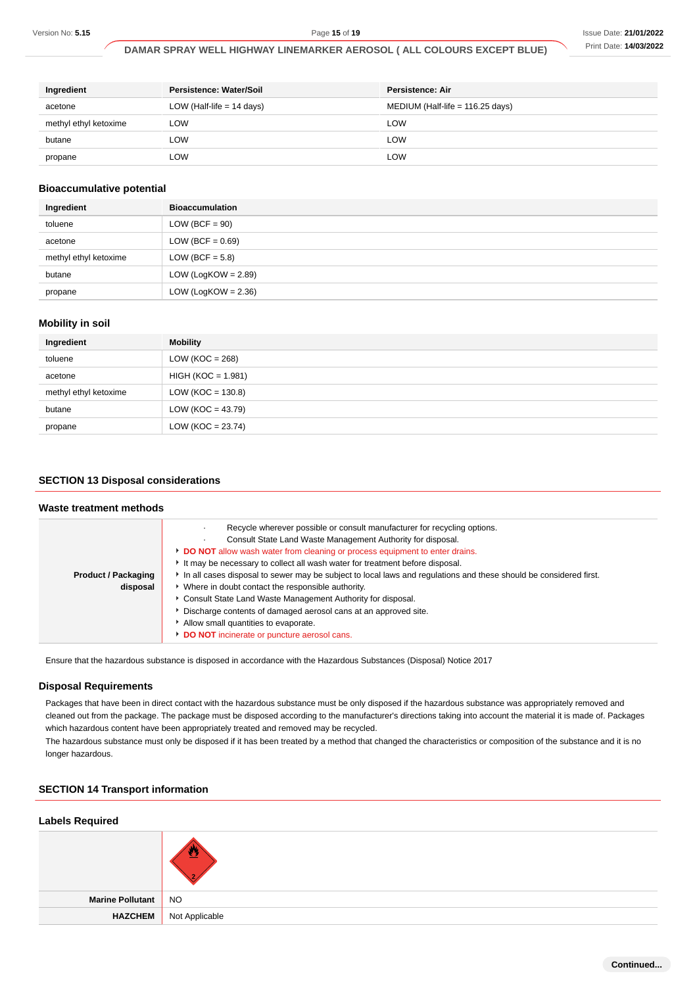| Ingredient            | Persistence: Water/Soil     | Persistence: Air                   |
|-----------------------|-----------------------------|------------------------------------|
| acetone               | LOW (Half-life $= 14$ days) | MEDIUM (Half-life = $116.25$ days) |
| methyl ethyl ketoxime | LOW                         | LOW                                |
| butane                | LOW                         | LOW                                |
| propane               | LOW                         | LOW                                |

#### **Bioaccumulative potential**

| Ingredient            | <b>Bioaccumulation</b> |
|-----------------------|------------------------|
| toluene               | $LOW (BCF = 90)$       |
| acetone               | LOW (BCF = $0.69$ )    |
| methyl ethyl ketoxime | LOW (BCF = $5.8$ )     |
| butane                | LOW (LogKOW = $2.89$ ) |
| propane               | LOW (LogKOW = $2.36$ ) |

# **Mobility in soil**

| Ingredient            | <b>Mobility</b>       |
|-----------------------|-----------------------|
| toluene               | LOW ( $KOC = 268$ )   |
| acetone               | $HIGH (KOC = 1.981)$  |
| methyl ethyl ketoxime | LOW ( $KOC = 130.8$ ) |
| butane                | $LOW (KOC = 43.79)$   |
| propane               | $LOW (KOC = 23.74)$   |

# **SECTION 13 Disposal considerations**

| Waste treatment methods                |                                                                                                                                                                                                                                                                                                                                                                                                                                                                                                                                                                                                                                                                                                                      |
|----------------------------------------|----------------------------------------------------------------------------------------------------------------------------------------------------------------------------------------------------------------------------------------------------------------------------------------------------------------------------------------------------------------------------------------------------------------------------------------------------------------------------------------------------------------------------------------------------------------------------------------------------------------------------------------------------------------------------------------------------------------------|
| <b>Product / Packaging</b><br>disposal | Recycle wherever possible or consult manufacturer for recycling options.<br>Consult State Land Waste Management Authority for disposal.<br>DO NOT allow wash water from cleaning or process equipment to enter drains.<br>It may be necessary to collect all wash water for treatment before disposal.<br>In all cases disposal to sewer may be subject to local laws and regulations and these should be considered first.<br>• Where in doubt contact the responsible authority.<br>• Consult State Land Waste Management Authority for disposal.<br>Discharge contents of damaged aerosol cans at an approved site.<br>Allow small quantities to evaporate.<br><b>DO NOT</b> incinerate or puncture aerosol cans. |

Ensure that the hazardous substance is disposed in accordance with the Hazardous Substances (Disposal) Notice 2017

#### **Disposal Requirements**

Packages that have been in direct contact with the hazardous substance must be only disposed if the hazardous substance was appropriately removed and cleaned out from the package. The package must be disposed according to the manufacturer's directions taking into account the material it is made of. Packages which hazardous content have been appropriately treated and removed may be recycled.

The hazardous substance must only be disposed if it has been treated by a method that changed the characteristics or composition of the substance and it is no longer hazardous.

#### **SECTION 14 Transport information**

#### **Labels Required**

| Marine Pollutant NO |                               |
|---------------------|-------------------------------|
|                     | <b>HAZCHEM</b> Not Applicable |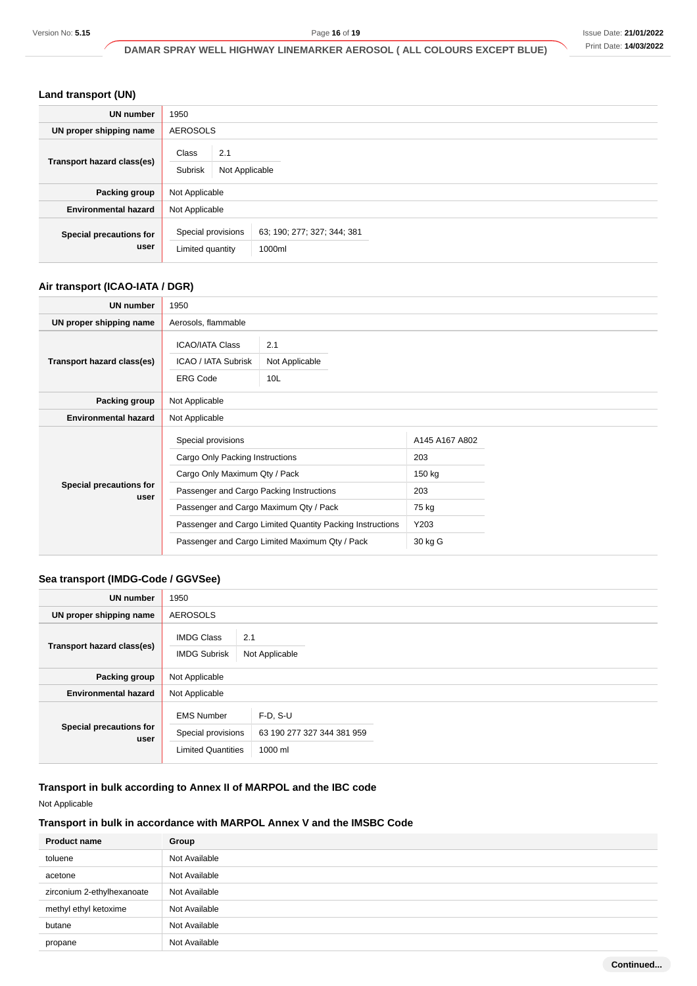# **Land transport (UN)**

| <b>UN number</b>                | 1950                                   |                                       |  |  |
|---------------------------------|----------------------------------------|---------------------------------------|--|--|
| UN proper shipping name         | <b>AEROSOLS</b>                        |                                       |  |  |
| Transport hazard class(es)      | Class<br>2.1<br>Subrisk                | Not Applicable                        |  |  |
| Packing group                   |                                        | Not Applicable                        |  |  |
| <b>Environmental hazard</b>     | Not Applicable                         |                                       |  |  |
| Special precautions for<br>user | Special provisions<br>Limited quantity | 63; 190; 277; 327; 344; 381<br>1000ml |  |  |

# **Air transport (ICAO-IATA / DGR)**

| <b>UN number</b>                | 1950                                                                                                                               |                                                                                                                                                       |                                                                    |  |
|---------------------------------|------------------------------------------------------------------------------------------------------------------------------------|-------------------------------------------------------------------------------------------------------------------------------------------------------|--------------------------------------------------------------------|--|
| UN proper shipping name         | Aerosols, flammable                                                                                                                |                                                                                                                                                       |                                                                    |  |
| Transport hazard class(es)      | <b>ICAO/IATA Class</b><br>ICAO / IATA Subrisk<br><b>ERG Code</b>                                                                   | 2.1<br>Not Applicable<br>10L                                                                                                                          |                                                                    |  |
| Packing group                   | Not Applicable                                                                                                                     |                                                                                                                                                       |                                                                    |  |
| <b>Environmental hazard</b>     | Not Applicable                                                                                                                     |                                                                                                                                                       |                                                                    |  |
| Special precautions for<br>user | Special provisions<br>Cargo Only Packing Instructions<br>Cargo Only Maximum Qty / Pack<br>Passenger and Cargo Packing Instructions | Passenger and Cargo Maximum Qty / Pack<br>Passenger and Cargo Limited Quantity Packing Instructions<br>Passenger and Cargo Limited Maximum Qty / Pack | A145 A167 A802<br>203<br>150 kg<br>203<br>75 kg<br>Y203<br>30 kg G |  |

# **Sea transport (IMDG-Code / GGVSee)**

| <b>UN number</b>                | 1950                                     |                                          |  |
|---------------------------------|------------------------------------------|------------------------------------------|--|
| UN proper shipping name         | <b>AEROSOLS</b>                          |                                          |  |
| Transport hazard class(es)      | <b>IMDG Class</b><br><b>IMDG Subrisk</b> | 2.1<br>Not Applicable                    |  |
| Packing group                   | Not Applicable                           |                                          |  |
| <b>Environmental hazard</b>     | Not Applicable                           |                                          |  |
| Special precautions for<br>user | <b>EMS Number</b><br>Special provisions  | $F-D, S-U$<br>63 190 277 327 344 381 959 |  |
|                                 | <b>Limited Quantities</b>                | 1000 ml                                  |  |

# **Transport in bulk according to Annex II of MARPOL and the IBC code**

Not Applicable

# **Transport in bulk in accordance with MARPOL Annex V and the IMSBC Code**

| <b>Product name</b>        | Group         |
|----------------------------|---------------|
| toluene                    | Not Available |
| acetone                    | Not Available |
| zirconium 2-ethylhexanoate | Not Available |
| methyl ethyl ketoxime      | Not Available |
| butane                     | Not Available |
| propane                    | Not Available |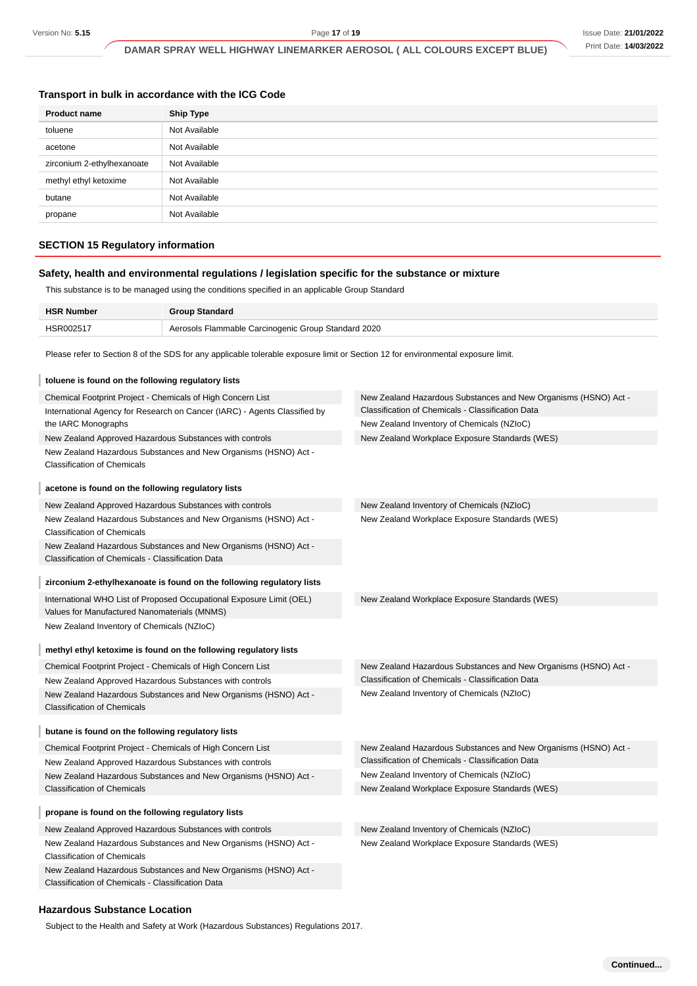#### **Transport in bulk in accordance with the ICG Code**

| <b>Product name</b>        | <b>Ship Type</b> |
|----------------------------|------------------|
| toluene                    | Not Available    |
| acetone                    | Not Available    |
| zirconium 2-ethylhexanoate | Not Available    |
| methyl ethyl ketoxime      | Not Available    |
| butane                     | Not Available    |
| propane                    | Not Available    |

#### **SECTION 15 Regulatory information**

#### **Safety, health and environmental regulations / legislation specific for the substance or mixture**

This substance is to be managed using the conditions specified in an applicable Group Standard

| <b>HSR Number</b> | <b>Group Standard</b>                               |
|-------------------|-----------------------------------------------------|
| HSR002517         | Aerosols Flammable Carcinogenic Group Standard 2020 |

Please refer to Section 8 of the SDS for any applicable tolerable exposure limit or Section 12 for environmental exposure limit.

| toluene is found on the following regulatory lists                                                                   |                                                                 |
|----------------------------------------------------------------------------------------------------------------------|-----------------------------------------------------------------|
| Chemical Footprint Project - Chemicals of High Concern List                                                          | New Zealand Hazardous Substances and New Organisms (HSNO) Act - |
| International Agency for Research on Cancer (IARC) - Agents Classified by                                            | Classification of Chemicals - Classification Data               |
| the IARC Monographs                                                                                                  | New Zealand Inventory of Chemicals (NZIoC)                      |
| New Zealand Approved Hazardous Substances with controls                                                              | New Zealand Workplace Exposure Standards (WES)                  |
| New Zealand Hazardous Substances and New Organisms (HSNO) Act -<br><b>Classification of Chemicals</b>                |                                                                 |
| acetone is found on the following regulatory lists                                                                   |                                                                 |
| New Zealand Approved Hazardous Substances with controls                                                              | New Zealand Inventory of Chemicals (NZIoC)                      |
| New Zealand Hazardous Substances and New Organisms (HSNO) Act -<br><b>Classification of Chemicals</b>                | New Zealand Workplace Exposure Standards (WES)                  |
| New Zealand Hazardous Substances and New Organisms (HSNO) Act -<br>Classification of Chemicals - Classification Data |                                                                 |
| zirconium 2-ethylhexanoate is found on the following regulatory lists                                                |                                                                 |
| International WHO List of Proposed Occupational Exposure Limit (OEL)<br>Values for Manufactured Nanomaterials (MNMS) | New Zealand Workplace Exposure Standards (WES)                  |
| New Zealand Inventory of Chemicals (NZIoC)                                                                           |                                                                 |
| methyl ethyl ketoxime is found on the following regulatory lists                                                     |                                                                 |
| Chemical Footprint Project - Chemicals of High Concern List                                                          | New Zealand Hazardous Substances and New Organisms (HSNO) Act - |
| New Zealand Approved Hazardous Substances with controls                                                              | Classification of Chemicals - Classification Data               |
| New Zealand Hazardous Substances and New Organisms (HSNO) Act -<br><b>Classification of Chemicals</b>                | New Zealand Inventory of Chemicals (NZIoC)                      |
| butane is found on the following regulatory lists                                                                    |                                                                 |
| Chemical Footprint Project - Chemicals of High Concern List                                                          | New Zealand Hazardous Substances and New Organisms (HSNO) Act - |
| New Zealand Approved Hazardous Substances with controls                                                              | Classification of Chemicals - Classification Data               |
| New Zealand Hazardous Substances and New Organisms (HSNO) Act -                                                      | New Zealand Inventory of Chemicals (NZIoC)                      |
| <b>Classification of Chemicals</b>                                                                                   | New Zealand Workplace Exposure Standards (WES)                  |
| propane is found on the following regulatory lists                                                                   |                                                                 |
| New Zealand Approved Hazardous Substances with controls                                                              | New Zealand Inventory of Chemicals (NZIoC)                      |
| New Zealand Hazardous Substances and New Organisms (HSNO) Act -<br><b>Classification of Chemicals</b>                | New Zealand Workplace Exposure Standards (WES)                  |
| New Zealand Hazardous Substances and New Organisms (HSNO) Act -<br>Classification of Chemicals - Classification Data |                                                                 |

#### **Hazardous Substance Location**

Subject to the Health and Safety at Work (Hazardous Substances) Regulations 2017.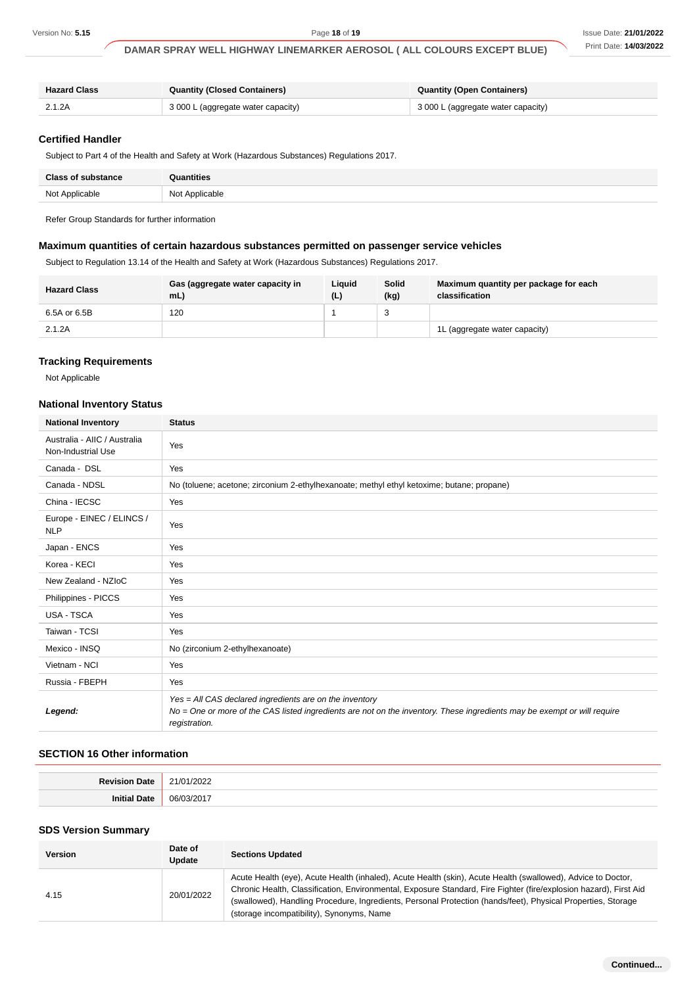| <b>Hazard Class</b> | <b>Quantity (Closed Containers)</b> | Quantity (Open Containers)         |
|---------------------|-------------------------------------|------------------------------------|
| 2.1.2A              | 3 000 L (aggregate water capacity)  | 3 000 L (aggregate water capacity) |

## **Certified Handler**

| <b>Class of substance</b> | Quantities     |
|---------------------------|----------------|
| Not Applicable            | Not Applicable |

#### **Maximum quantities of certain hazardous substances permitted on passenger service vehicles**

| <b>Hazard Class</b> | Gas (aggregate water capacity in<br>mL | Liauid<br>(L) | Solid<br>(kg) | Maximum quantity per package for each<br>classification |
|---------------------|----------------------------------------|---------------|---------------|---------------------------------------------------------|
| 6.5A or 6.5B        | 120                                    |               | ົ             |                                                         |
| 2.1.2A              |                                        |               |               | 1L (aggregate water capacity)                           |

#### **Tracking Requirements**

# **National Inventory Status**

| Version No: 5.15                                                                                                        |                                                                                                                                                                                                                                                                                                                                                                                                              |                                     | Page 18 of 19 |               | DAMAR SPRAY WELL HIGHWAY LINEMARKER AEROSOL ( ALL COLOURS EXCEPT BLUE) | Issue Date: 21/01/202<br>Print Date: 14/03/202 |
|-------------------------------------------------------------------------------------------------------------------------|--------------------------------------------------------------------------------------------------------------------------------------------------------------------------------------------------------------------------------------------------------------------------------------------------------------------------------------------------------------------------------------------------------------|-------------------------------------|---------------|---------------|------------------------------------------------------------------------|------------------------------------------------|
|                                                                                                                         |                                                                                                                                                                                                                                                                                                                                                                                                              |                                     |               |               |                                                                        |                                                |
| <b>Hazard Class</b>                                                                                                     |                                                                                                                                                                                                                                                                                                                                                                                                              | <b>Quantity (Closed Containers)</b> |               |               | <b>Quantity (Open Containers)</b>                                      |                                                |
| 2.1.2A                                                                                                                  | 3 000 L (aggregate water capacity)<br>3 000 L (aggregate water capacity)                                                                                                                                                                                                                                                                                                                                     |                                     |               |               |                                                                        |                                                |
| <b>Certified Handler</b><br>Subject to Part 4 of the Health and Safety at Work (Hazardous Substances) Regulations 2017. |                                                                                                                                                                                                                                                                                                                                                                                                              |                                     |               |               |                                                                        |                                                |
| <b>Class of substance</b>                                                                                               | Quantities                                                                                                                                                                                                                                                                                                                                                                                                   |                                     |               |               |                                                                        |                                                |
| Not Applicable                                                                                                          | Not Applicable                                                                                                                                                                                                                                                                                                                                                                                               |                                     |               |               |                                                                        |                                                |
| Refer Group Standards for further information                                                                           |                                                                                                                                                                                                                                                                                                                                                                                                              |                                     |               |               |                                                                        |                                                |
| Maximum quantities of certain hazardous substances permitted on passenger service vehicles                              |                                                                                                                                                                                                                                                                                                                                                                                                              |                                     |               |               |                                                                        |                                                |
| Subject to Regulation 13.14 of the Health and Safety at Work (Hazardous Substances) Regulations 2017.                   |                                                                                                                                                                                                                                                                                                                                                                                                              |                                     |               |               |                                                                        |                                                |
| <b>Hazard Class</b>                                                                                                     | mL)                                                                                                                                                                                                                                                                                                                                                                                                          | Gas (aggregate water capacity in    | Liquid<br>(L) | Solid<br>(kg) | Maximum quantity per package for each<br>classification                |                                                |
| 6.5A or 6.5B                                                                                                            | 120                                                                                                                                                                                                                                                                                                                                                                                                          |                                     | $\mathbf{1}$  | 3             |                                                                        |                                                |
| 2.1.2A                                                                                                                  |                                                                                                                                                                                                                                                                                                                                                                                                              |                                     |               |               | 1L (aggregate water capacity)                                          |                                                |
| Not Applicable<br><b>National Inventory Status</b>                                                                      |                                                                                                                                                                                                                                                                                                                                                                                                              |                                     |               |               |                                                                        |                                                |
| <b>National Inventory</b>                                                                                               | Status                                                                                                                                                                                                                                                                                                                                                                                                       |                                     |               |               |                                                                        |                                                |
| Australia - AIIC / Australia<br>Non-Industrial Use                                                                      | Yes                                                                                                                                                                                                                                                                                                                                                                                                          |                                     |               |               |                                                                        |                                                |
| Canada - DSL                                                                                                            | Yes                                                                                                                                                                                                                                                                                                                                                                                                          |                                     |               |               |                                                                        |                                                |
| Canada - NDSL                                                                                                           | No (toluene; acetone; zirconium 2-ethylhexanoate; methyl ethyl ketoxime; butane; propane)                                                                                                                                                                                                                                                                                                                    |                                     |               |               |                                                                        |                                                |
| China - IECSC                                                                                                           | Yes                                                                                                                                                                                                                                                                                                                                                                                                          |                                     |               |               |                                                                        |                                                |
| Europe - EINEC / ELINCS /<br><b>NLP</b>                                                                                 | Yes                                                                                                                                                                                                                                                                                                                                                                                                          |                                     |               |               |                                                                        |                                                |
| Japan - ENCS                                                                                                            | Yes                                                                                                                                                                                                                                                                                                                                                                                                          |                                     |               |               |                                                                        |                                                |
| Korea - KECI                                                                                                            | Yes                                                                                                                                                                                                                                                                                                                                                                                                          |                                     |               |               |                                                                        |                                                |
| New Zealand - NZIoC                                                                                                     | Yes                                                                                                                                                                                                                                                                                                                                                                                                          |                                     |               |               |                                                                        |                                                |
| Philippines - PICCS                                                                                                     | Yes                                                                                                                                                                                                                                                                                                                                                                                                          |                                     |               |               |                                                                        |                                                |
| USA - TSCA                                                                                                              | Yes                                                                                                                                                                                                                                                                                                                                                                                                          |                                     |               |               |                                                                        |                                                |
| Taiwan - TCSI                                                                                                           | Yes                                                                                                                                                                                                                                                                                                                                                                                                          |                                     |               |               |                                                                        |                                                |
| Mexico - INSQ                                                                                                           | No (zirconium 2-ethylhexanoate)                                                                                                                                                                                                                                                                                                                                                                              |                                     |               |               |                                                                        |                                                |
| Vietnam - NCI                                                                                                           | Yes                                                                                                                                                                                                                                                                                                                                                                                                          |                                     |               |               |                                                                        |                                                |
| Russia - FBEPH                                                                                                          | Yes                                                                                                                                                                                                                                                                                                                                                                                                          |                                     |               |               |                                                                        |                                                |
| Legend:                                                                                                                 | Yes = All CAS declared ingredients are on the inventory<br>No = One or more of the CAS listed ingredients are not on the inventory. These ingredients may be exempt or will require<br>registration.                                                                                                                                                                                                         |                                     |               |               |                                                                        |                                                |
| <b>SECTION 16 Other information</b>                                                                                     |                                                                                                                                                                                                                                                                                                                                                                                                              |                                     |               |               |                                                                        |                                                |
| <b>Revision Date</b>                                                                                                    | 21/01/2022                                                                                                                                                                                                                                                                                                                                                                                                   |                                     |               |               |                                                                        |                                                |
| <b>Initial Date</b>                                                                                                     | 06/03/2017                                                                                                                                                                                                                                                                                                                                                                                                   |                                     |               |               |                                                                        |                                                |
| <b>SDS Version Summary</b>                                                                                              |                                                                                                                                                                                                                                                                                                                                                                                                              |                                     |               |               |                                                                        |                                                |
| Version                                                                                                                 | Date of<br>Update                                                                                                                                                                                                                                                                                                                                                                                            | <b>Sections Updated</b>             |               |               |                                                                        |                                                |
| 4.15                                                                                                                    | Acute Health (eye), Acute Health (inhaled), Acute Health (skin), Acute Health (swallowed), Advice to Doctor,<br>Chronic Health, Classification, Environmental, Exposure Standard, Fire Fighter (fire/explosion hazard), First Aid<br>20/01/2022<br>(swallowed), Handling Procedure, Ingredients, Personal Protection (hands/feet), Physical Properties, Storage<br>(storage incompatibility), Synonyms, Name |                                     |               |               |                                                                        |                                                |

# **SECTION 16 Other information**

| <b>DAVIE</b><br>Jate | $\sim$<br>ີ<br>$\overline{\phantom{a}}$<br>. |
|----------------------|----------------------------------------------|
| Ini<br>ato           | റഭം<br>$\overline{\phantom{a}}$<br>$  -$     |

#### **SDS Version Summary**

| <b>Version</b> | Date of<br>Update | <b>Sections Updated</b>                                                                                                                                                                                                                                                                                                                                                                        |
|----------------|-------------------|------------------------------------------------------------------------------------------------------------------------------------------------------------------------------------------------------------------------------------------------------------------------------------------------------------------------------------------------------------------------------------------------|
| 4.15           | 20/01/2022        | Acute Health (eye), Acute Health (inhaled), Acute Health (skin), Acute Health (swallowed), Advice to Doctor,<br>Chronic Health, Classification, Environmental, Exposure Standard, Fire Fighter (fire/explosion hazard), First Aid<br>(swallowed), Handling Procedure, Ingredients, Personal Protection (hands/feet), Physical Properties, Storage<br>(storage incompatibility), Synonyms, Name |